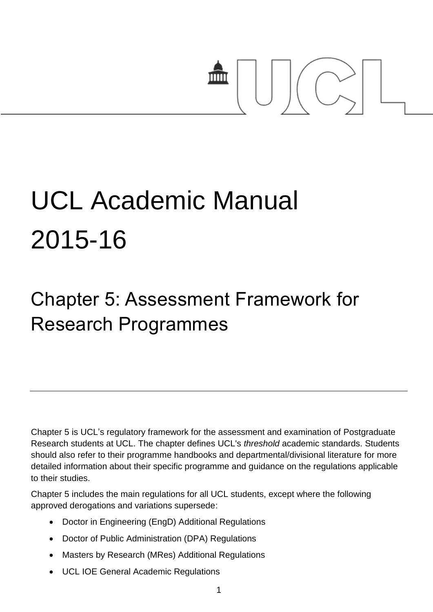# mm

# UCL Academic Manual 2015-16

# Chapter 5: Assessment Framework for Research Programmes

Chapter 5 is UCL's regulatory framework for the assessment and examination of Postgraduate Research students at UCL. The chapter defines UCL's *threshold* academic standards. Students should also refer to their programme handbooks and departmental/divisional literature for more detailed information about their specific programme and guidance on the regulations applicable to their studies.

Chapter 5 includes the main regulations for all UCL students, except where the following approved derogations and variations supersede:

- Doctor in Engineering (EngD) Additional Regulations
- Doctor of Public Administration (DPA) Regulations
- Masters by Research (MRes) Additional Regulations
- UCL IOE General Academic Regulations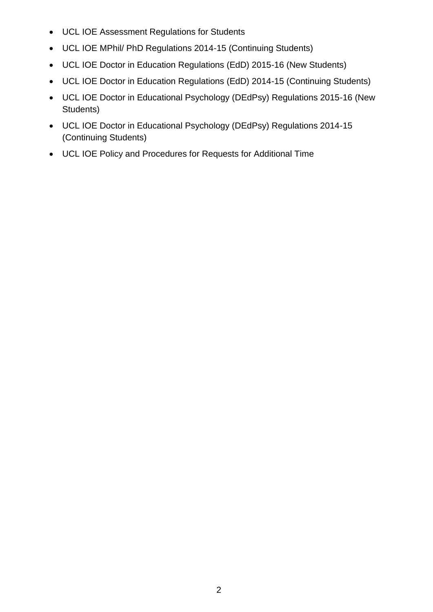- UCL IOE Assessment Regulations for Students
- UCL IOE MPhil/ PhD Regulations 2014-15 (Continuing Students)
- UCL IOE Doctor in Education Regulations (EdD) 2015-16 (New Students)
- UCL IOE Doctor in Education Regulations (EdD) 2014-15 (Continuing Students)
- UCL IOE Doctor in Educational Psychology (DEdPsy) Regulations 2015-16 (New Students)
- UCL IOE Doctor in Educational Psychology (DEdPsy) Regulations 2014-15 (Continuing Students)
- UCL IOE Policy and Procedures for Requests for Additional Time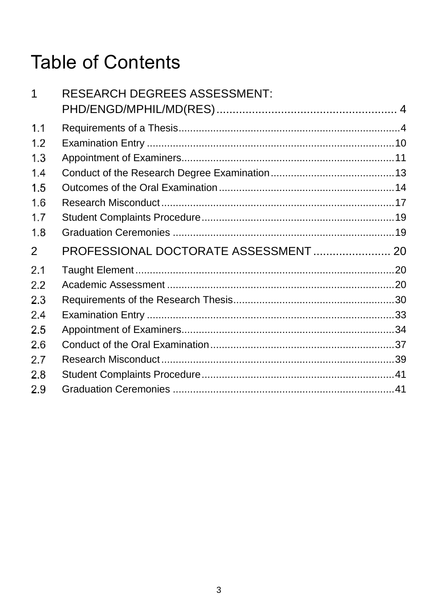# **Table of Contents**

| 1              | <b>RESEARCH DEGREES ASSESSMENT:</b>   |  |
|----------------|---------------------------------------|--|
| 1.1            |                                       |  |
| 1.2            |                                       |  |
| 1.3            |                                       |  |
| 1.4            |                                       |  |
| 1.5            |                                       |  |
| 1.6            |                                       |  |
| 1.7            |                                       |  |
| 1.8            |                                       |  |
| $\overline{2}$ | PROFESSIONAL DOCTORATE ASSESSMENT  20 |  |
| 2.1            |                                       |  |
| 2.2            |                                       |  |
| 2.3            |                                       |  |
| 2.4            |                                       |  |
| 2.5            |                                       |  |
| 2.6            |                                       |  |
| 2.7            |                                       |  |
| 2.8            |                                       |  |
| 2.9            |                                       |  |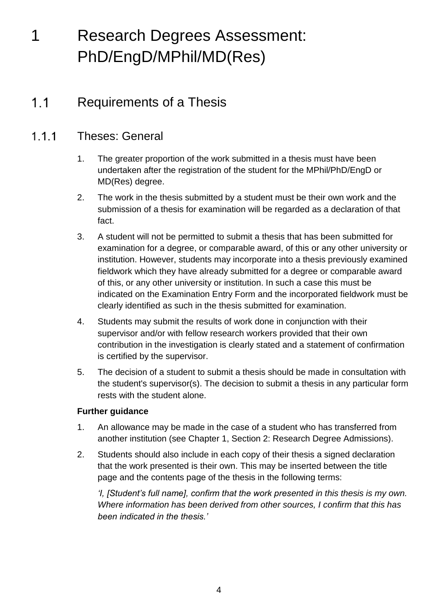# <span id="page-3-0"></span>1 Research Degrees Assessment: PhD/EngD/MPhil/MD(Res)

### <span id="page-3-1"></span> $1.1$ Requirements of a Thesis

### $111$ Theses: General

- 1. The greater proportion of the work submitted in a thesis must have been undertaken after the registration of the student for the MPhil/PhD/EngD or MD(Res) degree.
- 2. The work in the thesis submitted by a student must be their own work and the submission of a thesis for examination will be regarded as a declaration of that fact.
- 3. A student will not be permitted to submit a thesis that has been submitted for examination for a degree, or comparable award, of this or any other university or institution. However, students may incorporate into a thesis previously examined fieldwork which they have already submitted for a degree or comparable award of this, or any other university or institution. In such a case this must be indicated on the Examination Entry Form and the incorporated fieldwork must be clearly identified as such in the thesis submitted for examination.
- 4. Students may submit the results of work done in conjunction with their supervisor and/or with fellow research workers provided that their own contribution in the investigation is clearly stated and a statement of confirmation is certified by the supervisor.
- 5. The decision of a student to submit a thesis should be made in consultation with the student's supervisor(s). The decision to submit a thesis in any particular form rests with the student alone.

# **Further guidance**

- 1. An allowance may be made in the case of a student who has transferred from another institution (see Chapter 1, Section 2: Research Degree Admissions).
- 2. Students should also include in each copy of their thesis a signed declaration that the work presented is their own. This may be inserted between the title page and the contents page of the thesis in the following terms:

*'I, [Student's full name], confirm that the work presented in this thesis is my own. Where information has been derived from other sources, I confirm that this has been indicated in the thesis.'*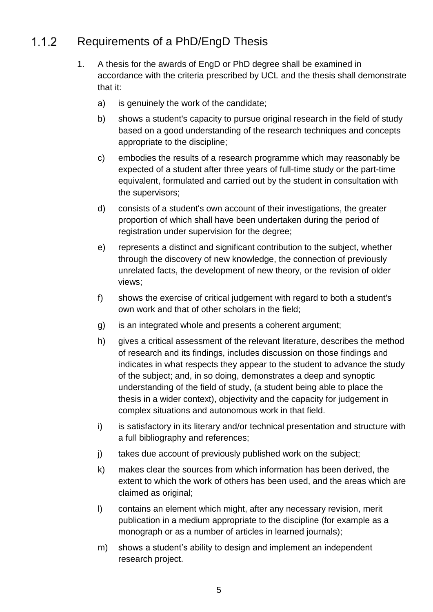### $1.1.2$ Requirements of a PhD/EngD Thesis

- 1. A thesis for the awards of EngD or PhD degree shall be examined in accordance with the criteria prescribed by UCL and the thesis shall demonstrate that it:
	- a) is genuinely the work of the candidate;
	- b) shows a student's capacity to pursue original research in the field of study based on a good understanding of the research techniques and concepts appropriate to the discipline;
	- c) embodies the results of a research programme which may reasonably be expected of a student after three years of full-time study or the part-time equivalent, formulated and carried out by the student in consultation with the supervisors;
	- d) consists of a student's own account of their investigations, the greater proportion of which shall have been undertaken during the period of registration under supervision for the degree;
	- e) represents a distinct and significant contribution to the subject, whether through the discovery of new knowledge, the connection of previously unrelated facts, the development of new theory, or the revision of older views;
	- f) shows the exercise of critical judgement with regard to both a student's own work and that of other scholars in the field;
	- g) is an integrated whole and presents a coherent argument;
	- h) gives a critical assessment of the relevant literature, describes the method of research and its findings, includes discussion on those findings and indicates in what respects they appear to the student to advance the study of the subject; and, in so doing, demonstrates a deep and synoptic understanding of the field of study, (a student being able to place the thesis in a wider context), objectivity and the capacity for judgement in complex situations and autonomous work in that field.
	- i) is satisfactory in its literary and/or technical presentation and structure with a full bibliography and references;
	- j) takes due account of previously published work on the subject;
	- k) makes clear the sources from which information has been derived, the extent to which the work of others has been used, and the areas which are claimed as original;
	- l) contains an element which might, after any necessary revision, merit publication in a medium appropriate to the discipline (for example as a monograph or as a number of articles in learned journals);
	- m) shows a student's ability to design and implement an independent research project.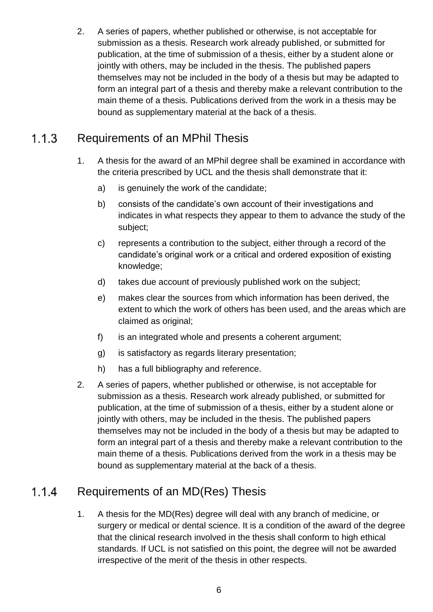2. A series of papers, whether published or otherwise, is not acceptable for submission as a thesis. Research work already published, or submitted for publication, at the time of submission of a thesis, either by a student alone or jointly with others, may be included in the thesis. The published papers themselves may not be included in the body of a thesis but may be adapted to form an integral part of a thesis and thereby make a relevant contribution to the main theme of a thesis. Publications derived from the work in a thesis may be bound as supplementary material at the back of a thesis.

### $1.1.3$ Requirements of an MPhil Thesis

- 1. A thesis for the award of an MPhil degree shall be examined in accordance with the criteria prescribed by UCL and the thesis shall demonstrate that it:
	- a) is genuinely the work of the candidate;
	- b) consists of the candidate's own account of their investigations and indicates in what respects they appear to them to advance the study of the subject;
	- c) represents a contribution to the subject, either through a record of the candidate's original work or a critical and ordered exposition of existing knowledge;
	- d) takes due account of previously published work on the subject;
	- e) makes clear the sources from which information has been derived, the extent to which the work of others has been used, and the areas which are claimed as original;
	- f) is an integrated whole and presents a coherent argument;
	- g) is satisfactory as regards literary presentation;
	- h) has a full bibliography and reference.
- 2. A series of papers, whether published or otherwise, is not acceptable for submission as a thesis. Research work already published, or submitted for publication, at the time of submission of a thesis, either by a student alone or jointly with others, may be included in the thesis. The published papers themselves may not be included in the body of a thesis but may be adapted to form an integral part of a thesis and thereby make a relevant contribution to the main theme of a thesis. Publications derived from the work in a thesis may be bound as supplementary material at the back of a thesis.

### Requirements of an MD(Res) Thesis  $1.1.4$

1. A thesis for the MD(Res) degree will deal with any branch of medicine, or surgery or medical or dental science. It is a condition of the award of the degree that the clinical research involved in the thesis shall conform to high ethical standards. If UCL is not satisfied on this point, the degree will not be awarded irrespective of the merit of the thesis in other respects.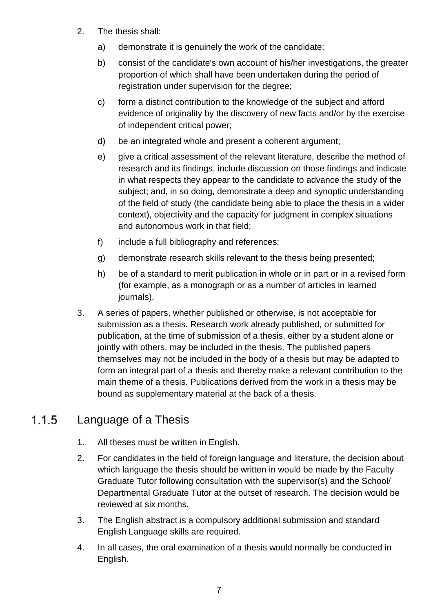- 2. The thesis shall:
	- a) demonstrate it is genuinely the work of the candidate;
	- b) consist of the candidate's own account of his/her investigations, the greater proportion of which shall have been undertaken during the period of registration under supervision for the degree;
	- c) form a distinct contribution to the knowledge of the subject and afford evidence of originality by the discovery of new facts and/or by the exercise of independent critical power;
	- d) be an integrated whole and present a coherent argument;
	- e) give a critical assessment of the relevant literature, describe the method of research and its findings, include discussion on those findings and indicate in what respects they appear to the candidate to advance the study of the subject; and, in so doing, demonstrate a deep and synoptic understanding of the field of study (the candidate being able to place the thesis in a wider context), objectivity and the capacity for judgment in complex situations and autonomous work in that field;
	- f) include a full bibliography and references;
	- g) demonstrate research skills relevant to the thesis being presented;
	- h) be of a standard to merit publication in whole or in part or in a revised form (for example, as a monograph or as a number of articles in learned journals).
- 3. A series of papers, whether published or otherwise, is not acceptable for submission as a thesis. Research work already published, or submitted for publication, at the time of submission of a thesis, either by a student alone or jointly with others, may be included in the thesis. The published papers themselves may not be included in the body of a thesis but may be adapted to form an integral part of a thesis and thereby make a relevant contribution to the main theme of a thesis. Publications derived from the work in a thesis may be bound as supplementary material at the back of a thesis.

### $1.1.5$ Language of a Thesis

- 1. All theses must be written in English.
- 2. For candidates in the field of foreign language and literature, the decision about which language the thesis should be written in would be made by the Faculty Graduate Tutor following consultation with the supervisor(s) and the School/ Departmental Graduate Tutor at the outset of research. The decision would be reviewed at six months.
- 3. The English abstract is a compulsory additional submission and standard English Language skills are required.
- 4. In all cases, the oral examination of a thesis would normally be conducted in English.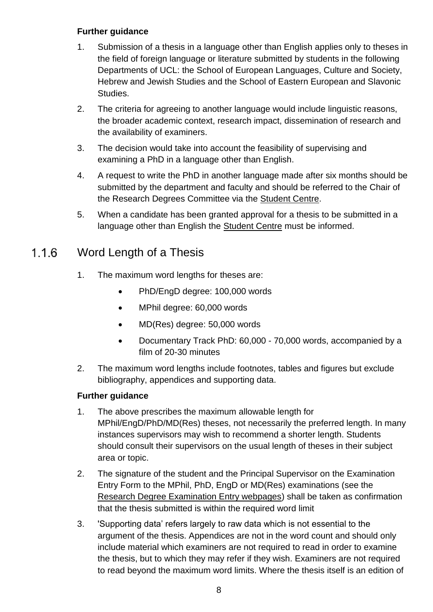# **Further guidance**

- 1. Submission of a thesis in a language other than English applies only to theses in the field of foreign language or literature submitted by students in the following Departments of UCL: the School of European Languages, Culture and Society, Hebrew and Jewish Studies and the School of Eastern European and Slavonic Studies.
- 2. The criteria for agreeing to another language would include linguistic reasons, the broader academic context, research impact, dissemination of research and the availability of examiners.
- 3. The decision would take into account the feasibility of supervising and examining a PhD in a language other than English.
- 4. A request to write the PhD in another language made after six months should be submitted by the department and faculty and should be referred to the Chair of the Research Degrees Committee via the [Student Centre.](http://www.ucl.ac.uk/current-students/student-centre)
- 5. When a candidate has been granted approval for a thesis to be submitted in a language other than English the [Student Centre](http://www.ucl.ac.uk/current-students/student-centre) must be informed.

### $1.1.6$ Word Length of a Thesis

- 1. The maximum word lengths for theses are:
	- PhD/EngD degree: 100,000 words
	- MPhil degree: 60,000 words
	- MD(Res) degree: 50,000 words
	- Documentary Track PhD: 60,000 70,000 words, accompanied by a film of 20-30 minutes
- 2. The maximum word lengths include footnotes, tables and figures but exclude bibliography, appendices and supporting data.

- 1. The above prescribes the maximum allowable length for MPhil/EngD/PhD/MD(Res) theses, not necessarily the preferred length. In many instances supervisors may wish to recommend a shorter length. Students should consult their supervisors on the usual length of theses in their subject area or topic.
- 2. The signature of the student and the Principal Supervisor on the Examination Entry Form to the MPhil, PhD, EngD or MD(Res) examinations (see the [Research Degree Examination Entry webpages\)](http://www.ucl.ac.uk/current-students/research_degrees/rd_exam_entry) shall be taken as confirmation that the thesis submitted is within the required word limit
- 3. 'Supporting data' refers largely to raw data which is not essential to the argument of the thesis. Appendices are not in the word count and should only include material which examiners are not required to read in order to examine the thesis, but to which they may refer if they wish. Examiners are not required to read beyond the maximum word limits. Where the thesis itself is an edition of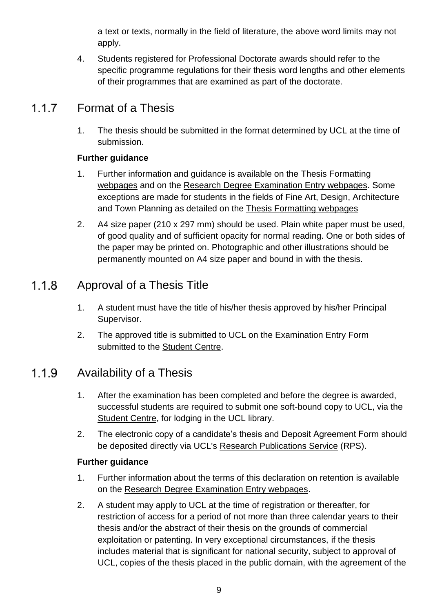a text or texts, normally in the field of literature, the above word limits may not apply.

4. Students registered for Professional Doctorate awards should refer to the specific programme regulations for their thesis word lengths and other elements of their programmes that are examined as part of the doctorate.

### 117 Format of a Thesis

1. The thesis should be submitted in the format determined by UCL at the time of submission.

# **Further guidance**

- 1. Further information and guidance is available on the [Thesis Formatting](http://www.ucl.ac.uk/current-students/research_degrees/thesis_formatting)  [webpages](http://www.ucl.ac.uk/current-students/research_degrees/thesis_formatting) and on the [Research Degree Examination Entry webpages.](http://www.ucl.ac.uk/current-students/research_degrees/rd_exam_entry) Some exceptions are made for students in the fields of Fine Art, Design, Architecture and Town Planning as detailed on the [Thesis Formatting webpages](http://www.ucl.ac.uk/current-students/research_degrees/thesis_formatting)
- 2. A4 size paper (210 x 297 mm) should be used. Plain white paper must be used, of good quality and of sufficient opacity for normal reading. One or both sides of the paper may be printed on. Photographic and other illustrations should be permanently mounted on A4 size paper and bound in with the thesis.

### $1.1.8$ Approval of a Thesis Title

- 1. A student must have the title of his/her thesis approved by his/her Principal Supervisor.
- 2. The approved title is submitted to UCL on the Examination Entry Form submitted to the [Student Centre.](http://www.ucl.ac.uk/current-students/student-centre)

### Availability of a Thesis 1.1.9

- 1. After the examination has been completed and before the degree is awarded, successful students are required to submit one soft-bound copy to UCL, via the [Student Centre,](http://www.ucl.ac.uk/current-students/student-centre) for lodging in the UCL library.
- 2. The electronic copy of a candidate's thesis and Deposit Agreement Form should be deposited directly via UCL's [Research Publications Service](http://www.ucl.ac.uk/ion/library/publications/rps) (RPS).

- 1. Further information about the terms of this declaration on retention is available on the [Research Degree Examination Entry webpages.](http://www.ucl.ac.uk/current-students/research_degrees/rd_exam_entry)
- 2. A student may apply to UCL at the time of registration or thereafter, for restriction of access for a period of not more than three calendar years to their thesis and/or the abstract of their thesis on the grounds of commercial exploitation or patenting. In very exceptional circumstances, if the thesis includes material that is significant for national security, subject to approval of UCL, copies of the thesis placed in the public domain, with the agreement of the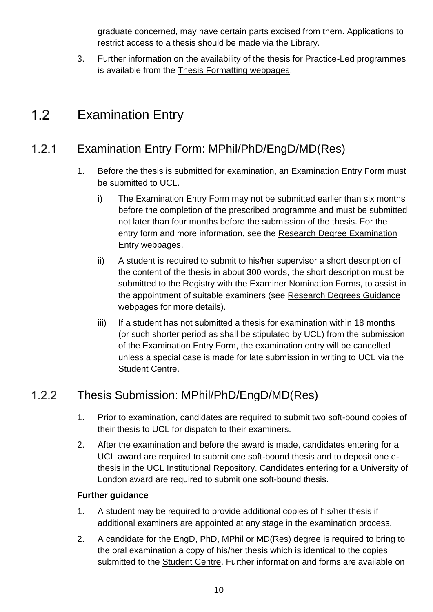graduate concerned, may have certain parts excised from them. Applications to restrict access to a thesis should be made via the [Library.](http://www.ucl.ac.uk/library)

3. Further information on the availability of the thesis for Practice-Led programmes is available from the [Thesis Formatting webpages.](http://www.ucl.ac.uk/current-students/research_degrees/thesis_formatting)

### <span id="page-9-0"></span> $1.2$ Examination Entry

### Examination Entry Form: MPhil/PhD/EngD/MD(Res)  $1.2.1$

- 1. Before the thesis is submitted for examination, an Examination Entry Form must be submitted to UCL.
	- i) The Examination Entry Form may not be submitted earlier than six months before the completion of the prescribed programme and must be submitted not later than four months before the submission of the thesis. For the entry form and more information, see the Research Degree Examination [Entry webpages.](http://www.ucl.ac.uk/current-students/research_degrees/rd_exam_entry)
	- ii) A student is required to submit to his/her supervisor a short description of the content of the thesis in about 300 words, the short description must be submitted to the Registry with the Examiner Nomination Forms, to assist in the appointment of suitable examiners (see [Research Degrees Guidance](http://www.ucl.ac.uk/silva/srs/academic-regulations/res-deg/guidance)  [webpages](http://www.ucl.ac.uk/silva/srs/academic-regulations/res-deg/guidance) for more details).
	- iii) If a student has not submitted a thesis for examination within 18 months (or such shorter period as shall be stipulated by UCL) from the submission of the Examination Entry Form, the examination entry will be cancelled unless a special case is made for late submission in writing to UCL via the [Student Centre.](http://www.ucl.ac.uk/current-students/student-centre)

### Thesis Submission: MPhil/PhD/EngD/MD(Res) 122

- 1. Prior to examination, candidates are required to submit two soft-bound copies of their thesis to UCL for dispatch to their examiners.
- 2. After the examination and before the award is made, candidates entering for a UCL award are required to submit one soft-bound thesis and to deposit one ethesis in the UCL Institutional Repository. Candidates entering for a University of London award are required to submit one soft-bound thesis.

- 1. A student may be required to provide additional copies of his/her thesis if additional examiners are appointed at any stage in the examination process.
- 2. A candidate for the EngD, PhD, MPhil or MD(Res) degree is required to bring to the oral examination a copy of his/her thesis which is identical to the copies submitted to the [Student Centre.](http://www.ucl.ac.uk/current-students/student-centre) Further information and forms are available on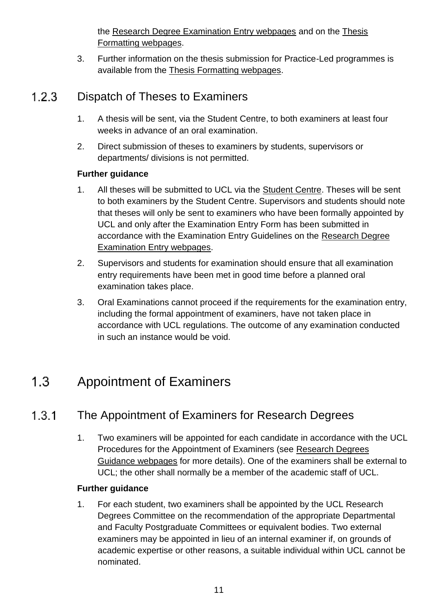the [Research Degree Examination Entry webpages](http://www.ucl.ac.uk/current-students/research_degrees/rd_exam_entry) and on the [Thesis](http://www.ucl.ac.uk/current-students/research_degrees/thesis_formatting)  [Formatting webpages.](http://www.ucl.ac.uk/current-students/research_degrees/thesis_formatting)

3. Further information on the thesis submission for Practice-Led programmes is available from the [Thesis Formatting webpages.](http://www.ucl.ac.uk/current-students/research_degrees/thesis_formatting)

### $1.2.3$ Dispatch of Theses to Examiners

- 1. A thesis will be sent, via the Student Centre, to both examiners at least four weeks in advance of an oral examination.
- 2. Direct submission of theses to examiners by students, supervisors or departments/ divisions is not permitted.

# **Further guidance**

- 1. All theses will be submitted to UCL via the [Student Centre.](http://www.ucl.ac.uk/current-students/student-centre) Theses will be sent to both examiners by the Student Centre. Supervisors and students should note that theses will only be sent to examiners who have been formally appointed by UCL and only after the Examination Entry Form has been submitted in accordance with the Examination Entry Guidelines on the [Research Degree](http://www.ucl.ac.uk/current-students/research_degrees/rd_exam_entry)  [Examination Entry webpages.](http://www.ucl.ac.uk/current-students/research_degrees/rd_exam_entry)
- 2. Supervisors and students for examination should ensure that all examination entry requirements have been met in good time before a planned oral examination takes place.
- 3. Oral Examinations cannot proceed if the requirements for the examination entry, including the formal appointment of examiners, have not taken place in accordance with UCL regulations. The outcome of any examination conducted in such an instance would be void.

### <span id="page-10-0"></span> $1.3$ Appointment of Examiners

### $1.3.1$ The Appointment of Examiners for Research Degrees

1. Two examiners will be appointed for each candidate in accordance with the UCL Procedures for the Appointment of Examiners (see [Research Degrees](http://www.ucl.ac.uk/silva/srs/academic-regulations/res-deg/guidance)  [Guidance webpages](http://www.ucl.ac.uk/silva/srs/academic-regulations/res-deg/guidance) for more details). One of the examiners shall be external to UCL; the other shall normally be a member of the academic staff of UCL.

# **Further guidance**

1. For each student, two examiners shall be appointed by the UCL Research Degrees Committee on the recommendation of the appropriate Departmental and Faculty Postgraduate Committees or equivalent bodies. Two external examiners may be appointed in lieu of an internal examiner if, on grounds of academic expertise or other reasons, a suitable individual within UCL cannot be nominated.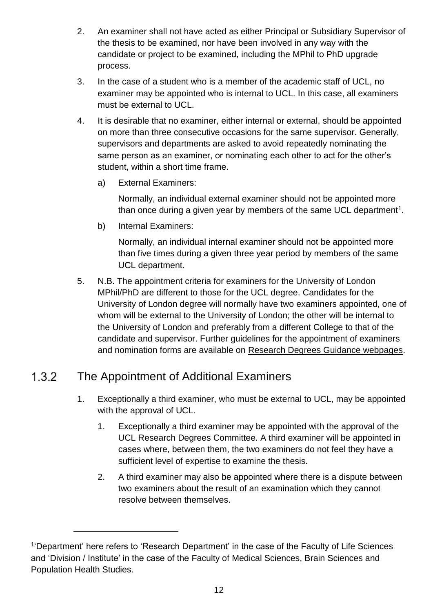- 2. An examiner shall not have acted as either Principal or Subsidiary Supervisor of the thesis to be examined, nor have been involved in any way with the candidate or project to be examined, including the MPhil to PhD upgrade process.
- 3. In the case of a student who is a member of the academic staff of UCL, no examiner may be appointed who is internal to UCL. In this case, all examiners must be external to UCL.
- 4. It is desirable that no examiner, either internal or external, should be appointed on more than three consecutive occasions for the same supervisor. Generally, supervisors and departments are asked to avoid repeatedly nominating the same person as an examiner, or nominating each other to act for the other's student, within a short time frame.
	- a) External Examiners:

Normally, an individual external examiner should not be appointed more than once during a given year by members of the same UCL department<sup>1</sup>.

b) Internal Examiners:

Normally, an individual internal examiner should not be appointed more than five times during a given three year period by members of the same UCL department.

5. N.B. The appointment criteria for examiners for the University of London MPhil/PhD are different to those for the UCL degree. Candidates for the University of London degree will normally have two examiners appointed, one of whom will be external to the University of London; the other will be internal to the University of London and preferably from a different College to that of the candidate and supervisor. Further guidelines for the appointment of examiners and nomination forms are available on [Research Degrees Guidance webpages.](http://www.ucl.ac.uk/silva/srs/academic-regulations/res-deg/guidance)

### The Appointment of Additional Examiners  $1.3.2$

l

- 1. Exceptionally a third examiner, who must be external to UCL, may be appointed with the approval of UCL.
	- 1. Exceptionally a third examiner may be appointed with the approval of the UCL Research Degrees Committee. A third examiner will be appointed in cases where, between them, the two examiners do not feel they have a sufficient level of expertise to examine the thesis.
	- 2. A third examiner may also be appointed where there is a dispute between two examiners about the result of an examination which they cannot resolve between themselves.

<sup>&</sup>lt;sup>1</sup>'Department' here refers to 'Research Department' in the case of the Faculty of Life Sciences and 'Division / Institute' in the case of the Faculty of Medical Sciences, Brain Sciences and Population Health Studies.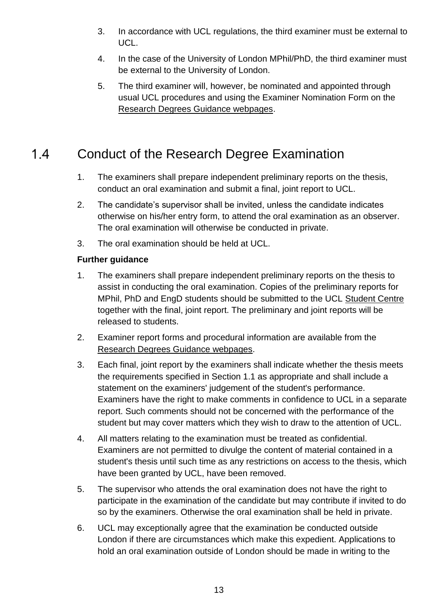- 3. In accordance with UCL regulations, the third examiner must be external to UCL.
- 4. In the case of the University of London MPhil/PhD, the third examiner must be external to the University of London.
- 5. The third examiner will, however, be nominated and appointed through usual UCL procedures and using the Examiner Nomination Form on the [Research Degrees Guidance webpages.](http://www.ucl.ac.uk/silva/srs/academic-regulations/res-deg/guidance)

### <span id="page-12-0"></span> $1.4$ Conduct of the Research Degree Examination

- 1. The examiners shall prepare independent preliminary reports on the thesis, conduct an oral examination and submit a final, joint report to UCL.
- 2. The candidate's supervisor shall be invited, unless the candidate indicates otherwise on his/her entry form, to attend the oral examination as an observer. The oral examination will otherwise be conducted in private.
- 3. The oral examination should be held at UCL.

- 1. The examiners shall prepare independent preliminary reports on the thesis to assist in conducting the oral examination. Copies of the preliminary reports for MPhil, PhD and EngD students should be submitted to the UCL [Student Centre](http://www.ucl.ac.uk/current-students/student-centre) together with the final, joint report. The preliminary and joint reports will be released to students.
- 2. Examiner report forms and procedural information are available from the [Research Degrees Guidance webpages.](http://www.ucl.ac.uk/silva/srs/academic-regulations/res-deg/guidance)
- 3. Each final, joint report by the examiners shall indicate whether the thesis meets the requirements specified in Section 1.1 as appropriate and shall include a statement on the examiners' judgement of the student's performance. Examiners have the right to make comments in confidence to UCL in a separate report. Such comments should not be concerned with the performance of the student but may cover matters which they wish to draw to the attention of UCL.
- 4. All matters relating to the examination must be treated as confidential. Examiners are not permitted to divulge the content of material contained in a student's thesis until such time as any restrictions on access to the thesis, which have been granted by UCL, have been removed.
- 5. The supervisor who attends the oral examination does not have the right to participate in the examination of the candidate but may contribute if invited to do so by the examiners. Otherwise the oral examination shall be held in private.
- 6. UCL may exceptionally agree that the examination be conducted outside London if there are circumstances which make this expedient. Applications to hold an oral examination outside of London should be made in writing to the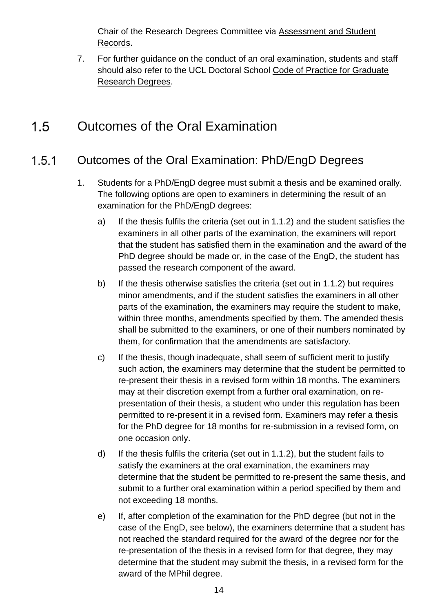Chair of the Research Degrees Committee via [Assessment and Student](http://www.ucl.ac.uk/srs/our-services/student-administration)  [Records.](http://www.ucl.ac.uk/srs/our-services/student-administration)

7. For further guidance on the conduct of an oral examination, students and staff should also refer to the UCL Doctoral School [Code of Practice for Graduate](http://www.grad.ucl.ac.uk/essinfo/)  [Research Degrees.](http://www.grad.ucl.ac.uk/essinfo/)

### <span id="page-13-0"></span> $1.5$ Outcomes of the Oral Examination

### Outcomes of the Oral Examination: PhD/EngD Degrees  $1.5.1$

- 1. Students for a PhD/EngD degree must submit a thesis and be examined orally. The following options are open to examiners in determining the result of an examination for the PhD/EngD degrees:
	- a) If the thesis fulfils the criteria (set out in 1.1.2) and the student satisfies the examiners in all other parts of the examination, the examiners will report that the student has satisfied them in the examination and the award of the PhD degree should be made or, in the case of the EngD, the student has passed the research component of the award.
	- b) If the thesis otherwise satisfies the criteria (set out in 1.1.2) but requires minor amendments, and if the student satisfies the examiners in all other parts of the examination, the examiners may require the student to make, within three months, amendments specified by them. The amended thesis shall be submitted to the examiners, or one of their numbers nominated by them, for confirmation that the amendments are satisfactory.
	- c) If the thesis, though inadequate, shall seem of sufficient merit to justify such action, the examiners may determine that the student be permitted to re-present their thesis in a revised form within 18 months. The examiners may at their discretion exempt from a further oral examination, on representation of their thesis, a student who under this regulation has been permitted to re-present it in a revised form. Examiners may refer a thesis for the PhD degree for 18 months for re-submission in a revised form, on one occasion only.
	- d) If the thesis fulfils the criteria (set out in 1.1.2), but the student fails to satisfy the examiners at the oral examination, the examiners may determine that the student be permitted to re-present the same thesis, and submit to a further oral examination within a period specified by them and not exceeding 18 months.
	- e) If, after completion of the examination for the PhD degree (but not in the case of the EngD, see below), the examiners determine that a student has not reached the standard required for the award of the degree nor for the re-presentation of the thesis in a revised form for that degree, they may determine that the student may submit the thesis, in a revised form for the award of the MPhil degree.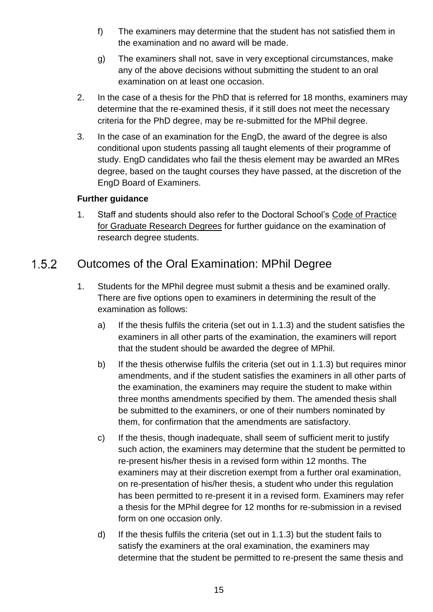- f) The examiners may determine that the student has not satisfied them in the examination and no award will be made.
- g) The examiners shall not, save in very exceptional circumstances, make any of the above decisions without submitting the student to an oral examination on at least one occasion.
- 2. In the case of a thesis for the PhD that is referred for 18 months, examiners may determine that the re-examined thesis, if it still does not meet the necessary criteria for the PhD degree, may be re-submitted for the MPhil degree.
- 3. In the case of an examination for the EngD, the award of the degree is also conditional upon students passing all taught elements of their programme of study. EngD candidates who fail the thesis element may be awarded an MRes degree, based on the taught courses they have passed, at the discretion of the EngD Board of Examiners.

# **Further guidance**

1. Staff and students should also refer to the Doctoral School's [Code of Practice](http://www.grad.ucl.ac.uk/essinfo/)  [for Graduate Research Degrees](http://www.grad.ucl.ac.uk/essinfo/) for further guidance on the examination of research degree students.

### $1.5.2$ Outcomes of the Oral Examination: MPhil Degree

- 1. Students for the MPhil degree must submit a thesis and be examined orally. There are five options open to examiners in determining the result of the examination as follows:
	- a) If the thesis fulfils the criteria (set out in 1.1.3) and the student satisfies the examiners in all other parts of the examination, the examiners will report that the student should be awarded the degree of MPhil.
	- b) If the thesis otherwise fulfils the criteria (set out in 1.1.3) but requires minor amendments, and if the student satisfies the examiners in all other parts of the examination, the examiners may require the student to make within three months amendments specified by them. The amended thesis shall be submitted to the examiners, or one of their numbers nominated by them, for confirmation that the amendments are satisfactory.
	- c) If the thesis, though inadequate, shall seem of sufficient merit to justify such action, the examiners may determine that the student be permitted to re-present his/her thesis in a revised form within 12 months. The examiners may at their discretion exempt from a further oral examination, on re-presentation of his/her thesis, a student who under this regulation has been permitted to re-present it in a revised form. Examiners may refer a thesis for the MPhil degree for 12 months for re-submission in a revised form on one occasion only.
	- d) If the thesis fulfils the criteria (set out in 1.1.3) but the student fails to satisfy the examiners at the oral examination, the examiners may determine that the student be permitted to re-present the same thesis and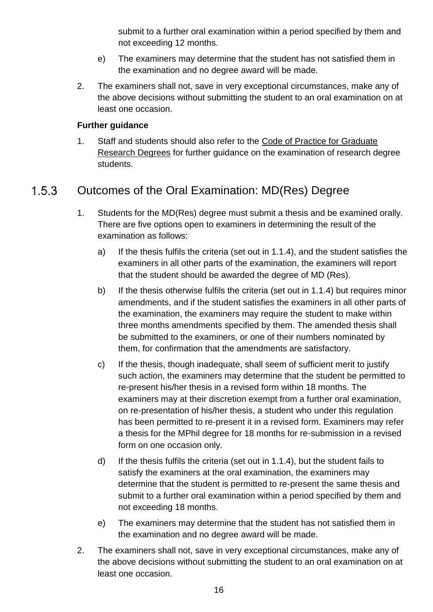submit to a further oral examination within a period specified by them and not exceeding 12 months.

- e) The examiners may determine that the student has not satisfied them in the examination and no degree award will be made.
- 2. The examiners shall not, save in very exceptional circumstances, make any of the above decisions without submitting the student to an oral examination on at least one occasion.

# **Further guidance**

1. Staff and students should also refer to the [Code of Practice for Graduate](http://www.grad.ucl.ac.uk/essinfo/)  [Research Degrees](http://www.grad.ucl.ac.uk/essinfo/) for further guidance on the examination of research degree students.

### Outcomes of the Oral Examination: MD(Res) Degree  $1.5.3$

- 1. Students for the MD(Res) degree must submit a thesis and be examined orally. There are five options open to examiners in determining the result of the examination as follows:
	- a) If the thesis fulfils the criteria (set out in 1.1.4), and the student satisfies the examiners in all other parts of the examination, the examiners will report that the student should be awarded the degree of MD (Res).
	- b) If the thesis otherwise fulfils the criteria (set out in 1.1.4) but requires minor amendments, and if the student satisfies the examiners in all other parts of the examination, the examiners may require the student to make within three months amendments specified by them. The amended thesis shall be submitted to the examiners, or one of their numbers nominated by them, for confirmation that the amendments are satisfactory.
	- c) If the thesis, though inadequate, shall seem of sufficient merit to justify such action, the examiners may determine that the student be permitted to re-present his/her thesis in a revised form within 18 months. The examiners may at their discretion exempt from a further oral examination, on re-presentation of his/her thesis, a student who under this regulation has been permitted to re-present it in a revised form. Examiners may refer a thesis for the MPhil degree for 18 months for re-submission in a revised form on one occasion only.
	- d) If the thesis fulfils the criteria (set out in 1.1.4), but the student fails to satisfy the examiners at the oral examination, the examiners may determine that the student is permitted to re-present the same thesis and submit to a further oral examination within a period specified by them and not exceeding 18 months.
	- e) The examiners may determine that the student has not satisfied them in the examination and no degree award will be made.
- 2. The examiners shall not, save in very exceptional circumstances, make any of the above decisions without submitting the student to an oral examination on at least one occasion.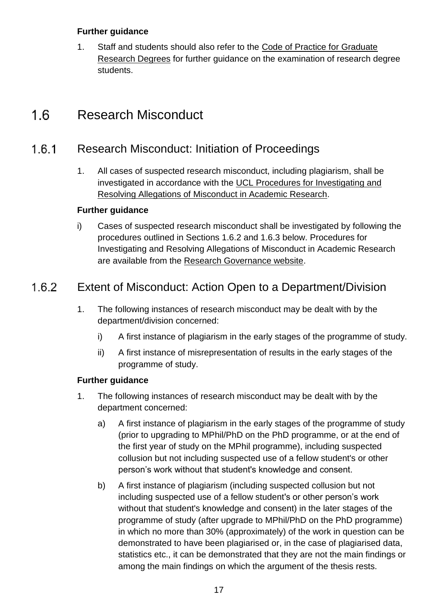# **Further guidance**

1. Staff and students should also refer to the [Code of Practice for Graduate](http://www.grad.ucl.ac.uk/essinfo/)  [Research Degrees](http://www.grad.ucl.ac.uk/essinfo/) for further guidance on the examination of research degree students.

### <span id="page-16-0"></span> $1.6$ Research Misconduct

### Research Misconduct: Initiation of Proceedings  $1.6.1$

1. All cases of suspected research misconduct, including plagiarism, shall be investigated in accordance with the [UCL Procedures for Investigating and](http://www.ucl.ac.uk/srs/governance-and-committees/resgov/investigation)  [Resolving Allegations of Misconduct in Academic Research.](http://www.ucl.ac.uk/srs/governance-and-committees/resgov/investigation)

# **Further guidance**

i) Cases of suspected research misconduct shall be investigated by following the procedures outlined in Sections 1.6.2 and 1.6.3 below. Procedures for Investigating and Resolving Allegations of Misconduct in Academic Research are available from the [Research Governance website.](http://www.ucl.ac.uk/srs/governance-and-committees/resgov)

### $1.6.2$ Extent of Misconduct: Action Open to a Department/Division

- 1. The following instances of research misconduct may be dealt with by the department/division concerned:
	- i) A first instance of plagiarism in the early stages of the programme of study.
	- ii) A first instance of misrepresentation of results in the early stages of the programme of study.

- 1. The following instances of research misconduct may be dealt with by the department concerned:
	- a) A first instance of plagiarism in the early stages of the programme of study (prior to upgrading to MPhil/PhD on the PhD programme, or at the end of the first year of study on the MPhil programme), including suspected collusion but not including suspected use of a fellow student's or other person's work without that student's knowledge and consent.
	- b) A first instance of plagiarism (including suspected collusion but not including suspected use of a fellow student's or other person's work without that student's knowledge and consent) in the later stages of the programme of study (after upgrade to MPhil/PhD on the PhD programme) in which no more than 30% (approximately) of the work in question can be demonstrated to have been plagiarised or, in the case of plagiarised data, statistics etc., it can be demonstrated that they are not the main findings or among the main findings on which the argument of the thesis rests.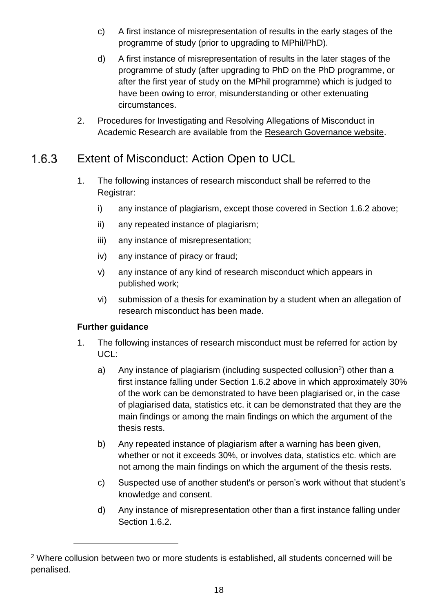- c) A first instance of misrepresentation of results in the early stages of the programme of study (prior to upgrading to MPhil/PhD).
- d) A first instance of misrepresentation of results in the later stages of the programme of study (after upgrading to PhD on the PhD programme, or after the first year of study on the MPhil programme) which is judged to have been owing to error, misunderstanding or other extenuating circumstances.
- 2. Procedures for Investigating and Resolving Allegations of Misconduct in Academic Research are available from the [Research Governance website.](http://www.ucl.ac.uk/srs/governance-and-committees/resgov)

### Extent of Misconduct: Action Open to UCL  $1.6.3$

- 1. The following instances of research misconduct shall be referred to the Registrar:
	- i) any instance of plagiarism, except those covered in Section 1.6.2 above;
	- ii) any repeated instance of plagiarism;
	- iii) any instance of misrepresentation;
	- iv) any instance of piracy or fraud;
	- v) any instance of any kind of research misconduct which appears in published work;
	- vi) submission of a thesis for examination by a student when an allegation of research misconduct has been made.

# **Further guidance**

l

- 1. The following instances of research misconduct must be referred for action by UCL:
	- a) Any instance of plagiarism (including suspected collusion<sup>2</sup>) other than a first instance falling under Section 1.6.2 above in which approximately 30% of the work can be demonstrated to have been plagiarised or, in the case of plagiarised data, statistics etc. it can be demonstrated that they are the main findings or among the main findings on which the argument of the thesis rests.
	- b) Any repeated instance of plagiarism after a warning has been given, whether or not it exceeds 30%, or involves data, statistics etc. which are not among the main findings on which the argument of the thesis rests.
	- c) Suspected use of another student's or person's work without that student's knowledge and consent.
	- d) Any instance of misrepresentation other than a first instance falling under Section 1.6.2.

<sup>&</sup>lt;sup>2</sup> Where collusion between two or more students is established, all students concerned will be penalised.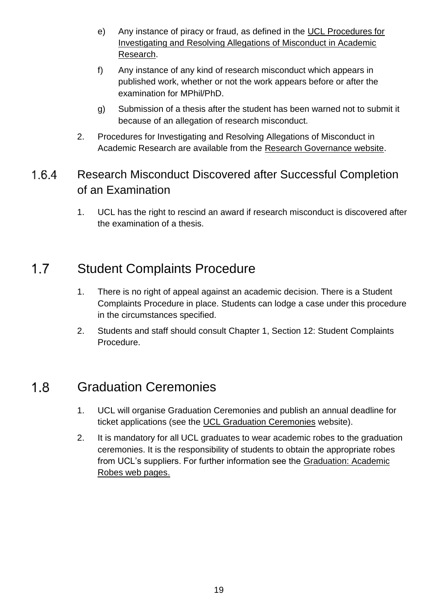- e) Any instance of piracy or fraud, as defined in the [UCL Procedures for](http://www.ucl.ac.uk/srs/governance-and-committees/resgov/investigation)  [Investigating and Resolving Allegations of Misconduct in Academic](http://www.ucl.ac.uk/srs/governance-and-committees/resgov/investigation)  [Research.](http://www.ucl.ac.uk/srs/governance-and-committees/resgov/investigation)
- f) Any instance of any kind of research misconduct which appears in published work, whether or not the work appears before or after the examination for MPhil/PhD.
- g) Submission of a thesis after the student has been warned not to submit it because of an allegation of research misconduct.
- 2. Procedures for Investigating and Resolving Allegations of Misconduct in Academic Research are available from the [Research Governance website.](http://www.ucl.ac.uk/srs/governance-and-committees/resgov)

## Research Misconduct Discovered after Successful Completion  $1.6.4$ of an Examination

1. UCL has the right to rescind an award if research misconduct is discovered after the examination of a thesis.

### <span id="page-18-0"></span> $1.7$ Student Complaints Procedure

- 1. There is no right of appeal against an academic decision. There is a Student Complaints Procedure in place. Students can lodge a case under this procedure in the circumstances specified.
- 2. Students and staff should consult Chapter 1, Section 12: Student Complaints Procedure.

### <span id="page-18-1"></span> $1.8$ Graduation Ceremonies

- 1. UCL will organise Graduation Ceremonies and publish an annual deadline for ticket applications (see the [UCL Graduation Ceremonies](http://www.ucl.ac.uk/graduation/) website).
- 2. It is mandatory for all UCL graduates to wear academic robes to the graduation ceremonies. It is the responsibility of students to obtain the appropriate robes from UCL's suppliers. For further information see the [Graduation: Academic](http://www.ucl.ac.uk/graduation/robes)  [Robes web pages.](http://www.ucl.ac.uk/graduation/robes)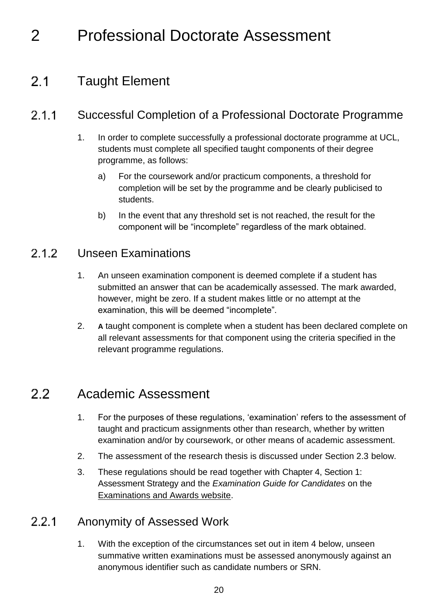# <span id="page-19-0"></span>2 Professional Doctorate Assessment

### <span id="page-19-1"></span> $2.1$ Taught Element

### $2.1.1$ Successful Completion of a Professional Doctorate Programme

- 1. In order to complete successfully a professional doctorate programme at UCL, students must complete all specified taught components of their degree programme, as follows:
	- a) For the coursework and/or practicum components, a threshold for completion will be set by the programme and be clearly publicised to students.
	- b) In the event that any threshold set is not reached, the result for the component will be "incomplete" regardless of the mark obtained.

### $2.1.2$ Unseen Examinations

- 1. An unseen examination component is deemed complete if a student has submitted an answer that can be academically assessed. The mark awarded, however, might be zero. If a student makes little or no attempt at the examination, this will be deemed "incomplete".
- 2. **A** taught component is complete when a student has been declared complete on all relevant assessments for that component using the criteria specified in the relevant programme regulations.

### <span id="page-19-2"></span> $2.2$ Academic Assessment

- 1. For the purposes of these regulations, 'examination' refers to the assessment of taught and practicum assignments other than research, whether by written examination and/or by coursework, or other means of academic assessment.
- 2. The assessment of the research thesis is discussed under Section 2.3 below.
- 3. These regulations should be read together with Chapter 4, Section 1: Assessment Strategy and the *Examination Guide for Candidates* on the [Examinations and Awards website.](http://www.ucl.ac.uk/current-students/exams_and_awards)

### $221$ Anonymity of Assessed Work

1. With the exception of the circumstances set out in item 4 below, unseen summative written examinations must be assessed anonymously against an anonymous identifier such as candidate numbers or SRN.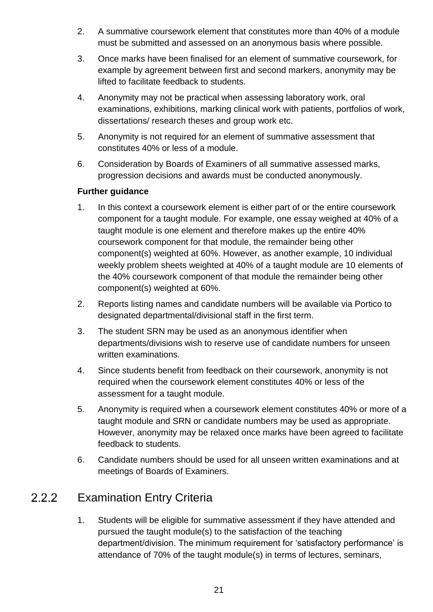- 2. A summative coursework element that constitutes more than 40% of a module must be submitted and assessed on an anonymous basis where possible.
- 3. Once marks have been finalised for an element of summative coursework, for example by agreement between first and second markers, anonymity may be lifted to facilitate feedback to students.
- 4. Anonymity may not be practical when assessing laboratory work, oral examinations, exhibitions, marking clinical work with patients, portfolios of work, dissertations/ research theses and group work etc.
- 5. Anonymity is not required for an element of summative assessment that constitutes 40% or less of a module.
- 6. Consideration by Boards of Examiners of all summative assessed marks, progression decisions and awards must be conducted anonymously.

# **Further guidance**

- 1. In this context a coursework element is either part of or the entire coursework component for a taught module. For example, one essay weighed at 40% of a taught module is one element and therefore makes up the entire 40% coursework component for that module, the remainder being other component(s) weighted at 60%. However, as another example, 10 individual weekly problem sheets weighted at 40% of a taught module are 10 elements of the 40% coursework component of that module the remainder being other component(s) weighted at 60%.
- 2. Reports listing names and candidate numbers will be available via Portico to designated departmental/divisional staff in the first term.
- 3. The student SRN may be used as an anonymous identifier when departments/divisions wish to reserve use of candidate numbers for unseen written examinations.
- 4. Since students benefit from feedback on their coursework, anonymity is not required when the coursework element constitutes 40% or less of the assessment for a taught module.
- 5. Anonymity is required when a coursework element constitutes 40% or more of a taught module and SRN or candidate numbers may be used as appropriate. However, anonymity may be relaxed once marks have been agreed to facilitate feedback to students.
- 6. Candidate numbers should be used for all unseen written examinations and at meetings of Boards of Examiners.

### 222 Examination Entry Criteria

1. Students will be eligible for summative assessment if they have attended and pursued the taught module(s) to the satisfaction of the teaching department/division. The minimum requirement for 'satisfactory performance' is attendance of 70% of the taught module(s) in terms of lectures, seminars,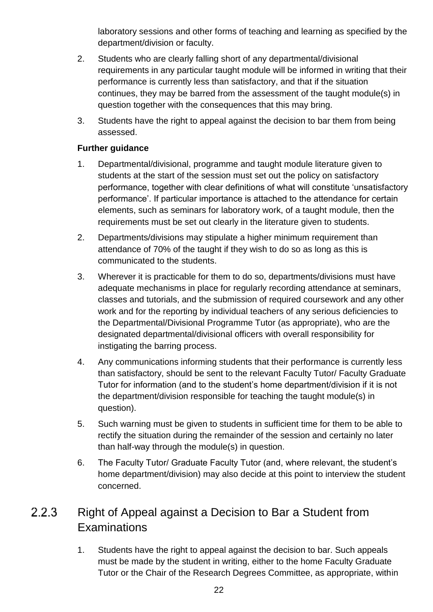laboratory sessions and other forms of teaching and learning as specified by the department/division or faculty.

- 2. Students who are clearly falling short of any departmental/divisional requirements in any particular taught module will be informed in writing that their performance is currently less than satisfactory, and that if the situation continues, they may be barred from the assessment of the taught module(s) in question together with the consequences that this may bring.
- 3. Students have the right to appeal against the decision to bar them from being assessed.

# **Further guidance**

- 1. Departmental/divisional, programme and taught module literature given to students at the start of the session must set out the policy on satisfactory performance, together with clear definitions of what will constitute 'unsatisfactory performance'. If particular importance is attached to the attendance for certain elements, such as seminars for laboratory work, of a taught module, then the requirements must be set out clearly in the literature given to students.
- 2. Departments/divisions may stipulate a higher minimum requirement than attendance of 70% of the taught if they wish to do so as long as this is communicated to the students.
- 3. Wherever it is practicable for them to do so, departments/divisions must have adequate mechanisms in place for regularly recording attendance at seminars, classes and tutorials, and the submission of required coursework and any other work and for the reporting by individual teachers of any serious deficiencies to the Departmental/Divisional Programme Tutor (as appropriate), who are the designated departmental/divisional officers with overall responsibility for instigating the barring process.
- 4. Any communications informing students that their performance is currently less than satisfactory, should be sent to the relevant Faculty Tutor/ Faculty Graduate Tutor for information (and to the student's home department/division if it is not the department/division responsible for teaching the taught module(s) in question).
- 5. Such warning must be given to students in sufficient time for them to be able to rectify the situation during the remainder of the session and certainly no later than half-way through the module(s) in question.
- 6. The Faculty Tutor/ Graduate Faculty Tutor (and, where relevant, the student's home department/division) may also decide at this point to interview the student concerned.

## $2.2.3$ Right of Appeal against a Decision to Bar a Student from **Examinations**

1. Students have the right to appeal against the decision to bar. Such appeals must be made by the student in writing, either to the home Faculty Graduate Tutor or the Chair of the Research Degrees Committee, as appropriate, within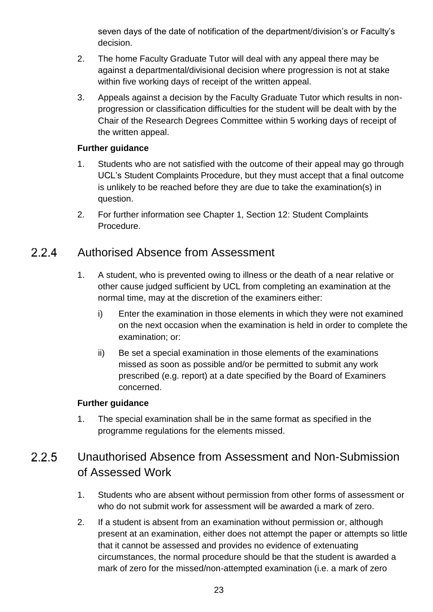seven days of the date of notification of the department/division's or Faculty's decision.

- 2. The home Faculty Graduate Tutor will deal with any appeal there may be against a departmental/divisional decision where progression is not at stake within five working days of receipt of the written appeal.
- 3. Appeals against a decision by the Faculty Graduate Tutor which results in nonprogression or classification difficulties for the student will be dealt with by the Chair of the Research Degrees Committee within 5 working days of receipt of the written appeal.

# **Further guidance**

- 1. Students who are not satisfied with the outcome of their appeal may go through UCL's Student Complaints Procedure, but they must accept that a final outcome is unlikely to be reached before they are due to take the examination(s) in question.
- 2. For further information see Chapter 1, Section 12: Student Complaints Procedure.

### Authorised Absence from Assessment  $224$

- 1. A student, who is prevented owing to illness or the death of a near relative or other cause judged sufficient by UCL from completing an examination at the normal time, may at the discretion of the examiners either:
	- i) Enter the examination in those elements in which they were not examined on the next occasion when the examination is held in order to complete the examination; or:
	- ii) Be set a special examination in those elements of the examinations missed as soon as possible and/or be permitted to submit any work prescribed (e.g. report) at a date specified by the Board of Examiners concerned.

# **Further guidance**

1. The special examination shall be in the same format as specified in the programme regulations for the elements missed.

# 225 Unauthorised Absence from Assessment and Non-Submission of Assessed Work

- 1. Students who are absent without permission from other forms of assessment or who do not submit work for assessment will be awarded a mark of zero.
- 2. If a student is absent from an examination without permission or, although present at an examination, either does not attempt the paper or attempts so little that it cannot be assessed and provides no evidence of extenuating circumstances, the normal procedure should be that the student is awarded a mark of zero for the missed/non-attempted examination (i.e. a mark of zero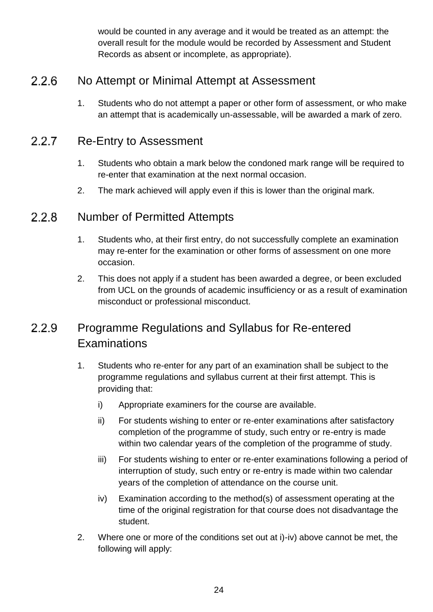would be counted in any average and it would be treated as an attempt: the overall result for the module would be recorded by Assessment and Student Records as absent or incomplete, as appropriate).

### $2.2.6$ No Attempt or Minimal Attempt at Assessment

1. Students who do not attempt a paper or other form of assessment, or who make an attempt that is academically un-assessable, will be awarded a mark of zero.

### Re-Entry to Assessment  $2.2.7$

- 1. Students who obtain a mark below the condoned mark range will be required to re-enter that examination at the next normal occasion.
- 2. The mark achieved will apply even if this is lower than the original mark.

### $2.2.8$ Number of Permitted Attempts

- 1. Students who, at their first entry, do not successfully complete an examination may re-enter for the examination or other forms of assessment on one more occasion.
- 2. This does not apply if a student has been awarded a degree, or been excluded from UCL on the grounds of academic insufficiency or as a result of examination misconduct or professional misconduct.

## Programme Regulations and Syllabus for Re-entered 2.2.9 **Examinations**

- 1. Students who re-enter for any part of an examination shall be subject to the programme regulations and syllabus current at their first attempt. This is providing that:
	- i) Appropriate examiners for the course are available.
	- ii) For students wishing to enter or re-enter examinations after satisfactory completion of the programme of study, such entry or re-entry is made within two calendar years of the completion of the programme of study.
	- iii) For students wishing to enter or re-enter examinations following a period of interruption of study, such entry or re-entry is made within two calendar years of the completion of attendance on the course unit.
	- iv) Examination according to the method(s) of assessment operating at the time of the original registration for that course does not disadvantage the student.
- 2. Where one or more of the conditions set out at i)-iv) above cannot be met, the following will apply: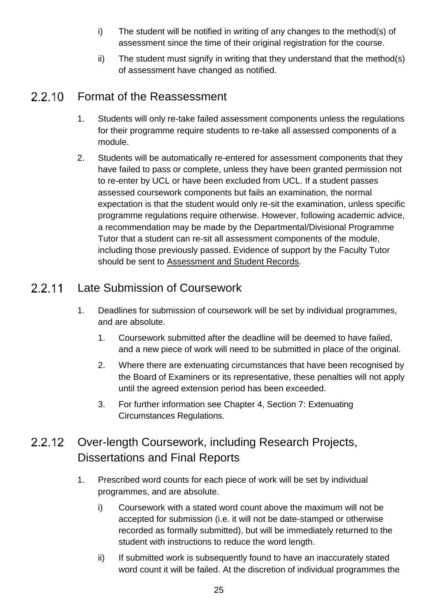- i) The student will be notified in writing of any changes to the method(s) of assessment since the time of their original registration for the course.
- ii) The student must signify in writing that they understand that the method(s) of assessment have changed as notified.

### 2.2.10 Format of the Reassessment

- 1. Students will only re-take failed assessment components unless the regulations for their programme require students to re-take all assessed components of a module.
- 2. Students will be automatically re-entered for assessment components that they have failed to pass or complete, unless they have been granted permission not to re-enter by UCL or have been excluded from UCL. If a student passes assessed coursework components but fails an examination, the normal expectation is that the student would only re-sit the examination, unless specific programme regulations require otherwise. However, following academic advice, a recommendation may be made by the Departmental/Divisional Programme Tutor that a student can re-sit all assessment components of the module, including those previously passed. Evidence of support by the Faculty Tutor should be sent to [Assessment and Student Records.](http://www.ucl.ac.uk/srs/our-services/student-administration)

### Late Submission of Coursework 2.2.11

- 1. Deadlines for submission of coursework will be set by individual programmes, and are absolute.
	- 1. Coursework submitted after the deadline will be deemed to have failed, and a new piece of work will need to be submitted in place of the original.
	- 2. Where there are extenuating circumstances that have been recognised by the Board of Examiners or its representative, these penalties will not apply until the agreed extension period has been exceeded.
	- 3. For further information see Chapter 4, Section 7: Extenuating Circumstances Regulations.

# $2212$ Over-length Coursework, including Research Projects, Dissertations and Final Reports

- 1. Prescribed word counts for each piece of work will be set by individual programmes, and are absolute.
	- i) Coursework with a stated word count above the maximum will not be accepted for submission (i.e. it will not be date-stamped or otherwise recorded as formally submitted), but will be immediately returned to the student with instructions to reduce the word length.
	- ii) If submitted work is subsequently found to have an inaccurately stated word count it will be failed. At the discretion of individual programmes the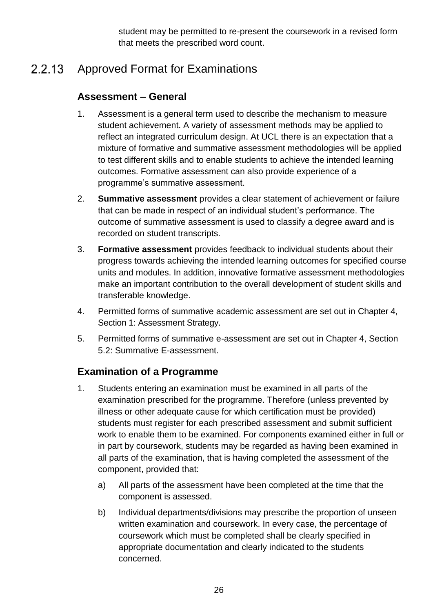student may be permitted to re-present the coursework in a revised form that meets the prescribed word count.

### 2.2.13 Approved Format for Examinations

# **Assessment – General**

- 1. Assessment is a general term used to describe the mechanism to measure student achievement. A variety of assessment methods may be applied to reflect an integrated curriculum design. At UCL there is an expectation that a mixture of formative and summative assessment methodologies will be applied to test different skills and to enable students to achieve the intended learning outcomes. Formative assessment can also provide experience of a programme's summative assessment.
- 2. **Summative assessment** provides a clear statement of achievement or failure that can be made in respect of an individual student's performance. The outcome of summative assessment is used to classify a degree award and is recorded on student transcripts.
- 3. **Formative assessment** provides feedback to individual students about their progress towards achieving the intended learning outcomes for specified course units and modules. In addition, innovative formative assessment methodologies make an important contribution to the overall development of student skills and transferable knowledge.
- 4. Permitted forms of summative academic assessment are set out in Chapter 4, Section 1: Assessment Strategy.
- 5. Permitted forms of summative e-assessment are set out in Chapter 4, Section 5.2: Summative E-assessment.

# **Examination of a Programme**

- 1. Students entering an examination must be examined in all parts of the examination prescribed for the programme. Therefore (unless prevented by illness or other adequate cause for which certification must be provided) students must register for each prescribed assessment and submit sufficient work to enable them to be examined. For components examined either in full or in part by coursework, students may be regarded as having been examined in all parts of the examination, that is having completed the assessment of the component, provided that:
	- a) All parts of the assessment have been completed at the time that the component is assessed.
	- b) Individual departments/divisions may prescribe the proportion of unseen written examination and coursework. In every case, the percentage of coursework which must be completed shall be clearly specified in appropriate documentation and clearly indicated to the students concerned.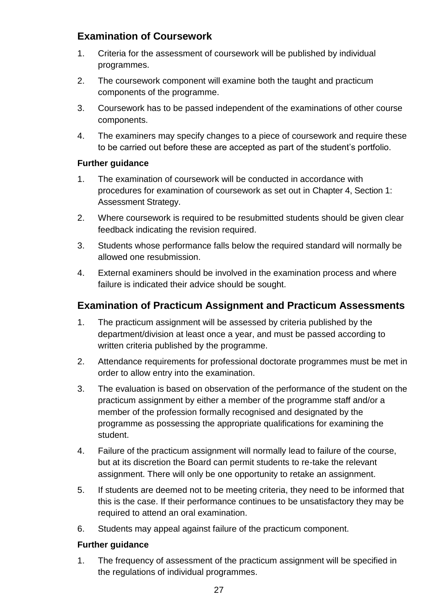# **Examination of Coursework**

- 1. Criteria for the assessment of coursework will be published by individual programmes.
- 2. The coursework component will examine both the taught and practicum components of the programme.
- 3. Coursework has to be passed independent of the examinations of other course components.
- 4. The examiners may specify changes to a piece of coursework and require these to be carried out before these are accepted as part of the student's portfolio.

# **Further guidance**

- 1. The examination of coursework will be conducted in accordance with procedures for examination of coursework as set out in Chapter 4, Section 1: Assessment Strategy.
- 2. Where coursework is required to be resubmitted students should be given clear feedback indicating the revision required.
- 3. Students whose performance falls below the required standard will normally be allowed one resubmission.
- 4. External examiners should be involved in the examination process and where failure is indicated their advice should be sought.

# **Examination of Practicum Assignment and Practicum Assessments**

- 1. The practicum assignment will be assessed by criteria published by the department/division at least once a year, and must be passed according to written criteria published by the programme.
- 2. Attendance requirements for professional doctorate programmes must be met in order to allow entry into the examination.
- 3. The evaluation is based on observation of the performance of the student on the practicum assignment by either a member of the programme staff and/or a member of the profession formally recognised and designated by the programme as possessing the appropriate qualifications for examining the student.
- 4. Failure of the practicum assignment will normally lead to failure of the course, but at its discretion the Board can permit students to re-take the relevant assignment. There will only be one opportunity to retake an assignment.
- 5. If students are deemed not to be meeting criteria, they need to be informed that this is the case. If their performance continues to be unsatisfactory they may be required to attend an oral examination.
- 6. Students may appeal against failure of the practicum component.

# **Further guidance**

1. The frequency of assessment of the practicum assignment will be specified in the regulations of individual programmes.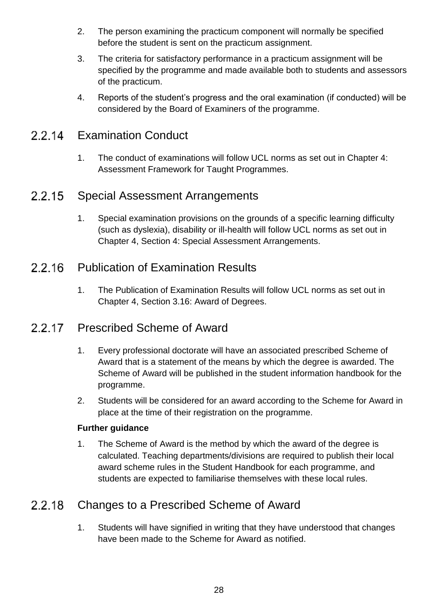- 2. The person examining the practicum component will normally be specified before the student is sent on the practicum assignment.
- 3. The criteria for satisfactory performance in a practicum assignment will be specified by the programme and made available both to students and assessors of the practicum.
- 4. Reports of the student's progress and the oral examination (if conducted) will be considered by the Board of Examiners of the programme.

### 2.2.14 Examination Conduct

1. The conduct of examinations will follow UCL norms as set out in Chapter 4: Assessment Framework for Taught Programmes.

### Special Assessment Arrangements 2.2.15

1. Special examination provisions on the grounds of a specific learning difficulty (such as dyslexia), disability or ill-health will follow UCL norms as set out in Chapter 4, Section 4: Special Assessment Arrangements.

### Publication of Examination Results 2216

1. The Publication of Examination Results will follow UCL norms as set out in Chapter 4, Section 3.16: Award of Degrees.

### 2.2.17 Prescribed Scheme of Award

- 1. Every professional doctorate will have an associated prescribed Scheme of Award that is a statement of the means by which the degree is awarded. The Scheme of Award will be published in the student information handbook for the programme.
- 2. Students will be considered for an award according to the Scheme for Award in place at the time of their registration on the programme.

# **Further guidance**

1. The Scheme of Award is the method by which the award of the degree is calculated. Teaching departments/divisions are required to publish their local award scheme rules in the Student Handbook for each programme, and students are expected to familiarise themselves with these local rules.

### 2.2.18 Changes to a Prescribed Scheme of Award

1. Students will have signified in writing that they have understood that changes have been made to the Scheme for Award as notified.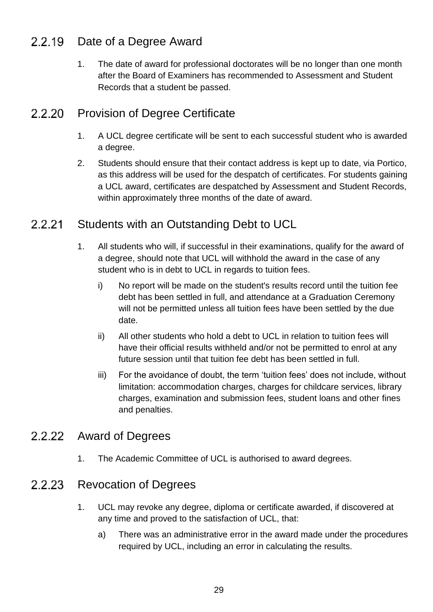### Date of a Degree Award 2.2.19

1. The date of award for professional doctorates will be no longer than one month after the Board of Examiners has recommended to Assessment and Student Records that a student be passed.

### 2.2.20 Provision of Degree Certificate

- 1. A UCL degree certificate will be sent to each successful student who is awarded a degree.
- 2. Students should ensure that their contact address is kept up to date, via Portico, as this address will be used for the despatch of certificates. For students gaining a UCL award, certificates are despatched by Assessment and Student Records, within approximately three months of the date of award.

### 2.2.21 Students with an Outstanding Debt to UCL

- 1. All students who will, if successful in their examinations, qualify for the award of a degree, should note that UCL will withhold the award in the case of any student who is in debt to UCL in regards to tuition fees.
	- i) No report will be made on the student's results record until the tuition fee debt has been settled in full, and attendance at a Graduation Ceremony will not be permitted unless all tuition fees have been settled by the due date.
	- ii) All other students who hold a debt to UCL in relation to tuition fees will have their official results withheld and/or not be permitted to enrol at any future session until that tuition fee debt has been settled in full.
	- iii) For the avoidance of doubt, the term 'tuition fees' does not include, without limitation: accommodation charges, charges for childcare services, library charges, examination and submission fees, student loans and other fines and penalties.

# 2.2.22 Award of Degrees

1. The Academic Committee of UCL is authorised to award degrees.

### 2.2.23 Revocation of Degrees

- 1. UCL may revoke any degree, diploma or certificate awarded, if discovered at any time and proved to the satisfaction of UCL, that:
	- a) There was an administrative error in the award made under the procedures required by UCL, including an error in calculating the results.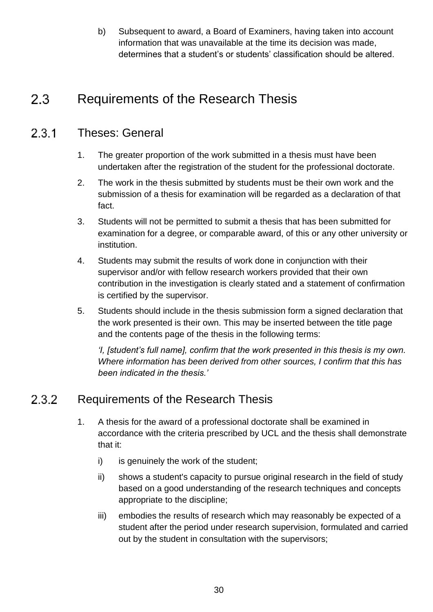b) Subsequent to award, a Board of Examiners, having taken into account information that was unavailable at the time its decision was made, determines that a student's or students' classification should be altered.

### <span id="page-29-0"></span> $2.3$ Requirements of the Research Thesis

### $231$ Theses: General

- 1. The greater proportion of the work submitted in a thesis must have been undertaken after the registration of the student for the professional doctorate.
- 2. The work in the thesis submitted by students must be their own work and the submission of a thesis for examination will be regarded as a declaration of that fact.
- 3. Students will not be permitted to submit a thesis that has been submitted for examination for a degree, or comparable award, of this or any other university or institution.
- 4. Students may submit the results of work done in conjunction with their supervisor and/or with fellow research workers provided that their own contribution in the investigation is clearly stated and a statement of confirmation is certified by the supervisor.
- 5. Students should include in the thesis submission form a signed declaration that the work presented is their own. This may be inserted between the title page and the contents page of the thesis in the following terms:

*'I, [student's full name], confirm that the work presented in this thesis is my own. Where information has been derived from other sources, I confirm that this has been indicated in the thesis.'*

### 232 Requirements of the Research Thesis

- 1. A thesis for the award of a professional doctorate shall be examined in accordance with the criteria prescribed by UCL and the thesis shall demonstrate that it:
	- i) is genuinely the work of the student;
	- ii) shows a student's capacity to pursue original research in the field of study based on a good understanding of the research techniques and concepts appropriate to the discipline;
	- iii) embodies the results of research which may reasonably be expected of a student after the period under research supervision, formulated and carried out by the student in consultation with the supervisors;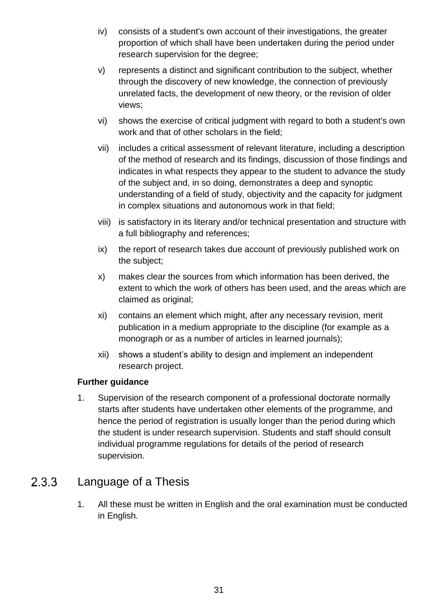- iv) consists of a student's own account of their investigations, the greater proportion of which shall have been undertaken during the period under research supervision for the degree;
- v) represents a distinct and significant contribution to the subject, whether through the discovery of new knowledge, the connection of previously unrelated facts, the development of new theory, or the revision of older views;
- vi) shows the exercise of critical judgment with regard to both a student's own work and that of other scholars in the field;
- vii) includes a critical assessment of relevant literature, including a description of the method of research and its findings, discussion of those findings and indicates in what respects they appear to the student to advance the study of the subject and, in so doing, demonstrates a deep and synoptic understanding of a field of study, objectivity and the capacity for judgment in complex situations and autonomous work in that field;
- viii) is satisfactory in its literary and/or technical presentation and structure with a full bibliography and references;
- ix) the report of research takes due account of previously published work on the subject;
- x) makes clear the sources from which information has been derived, the extent to which the work of others has been used, and the areas which are claimed as original;
- xi) contains an element which might, after any necessary revision, merit publication in a medium appropriate to the discipline (for example as a monograph or as a number of articles in learned journals);
- xii) shows a student's ability to design and implement an independent research project.

# **Further guidance**

1. Supervision of the research component of a professional doctorate normally starts after students have undertaken other elements of the programme, and hence the period of registration is usually longer than the period during which the student is under research supervision. Students and staff should consult individual programme regulations for details of the period of research supervision.

### Language of a Thesis  $2.3.3$

1. All these must be written in English and the oral examination must be conducted in English.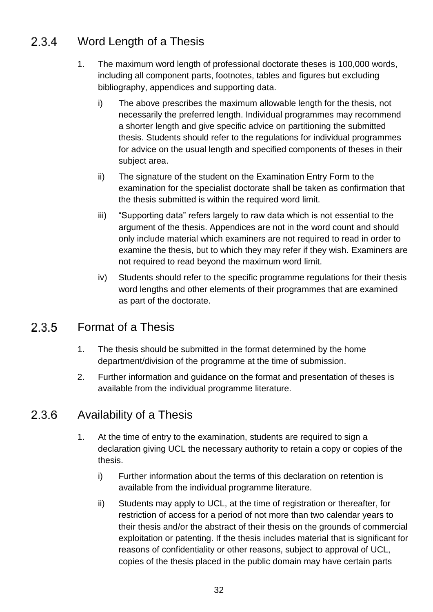### Word Length of a Thesis  $2.3.4$

- 1. The maximum word length of professional doctorate theses is 100,000 words, including all component parts, footnotes, tables and figures but excluding bibliography, appendices and supporting data.
	- i) The above prescribes the maximum allowable length for the thesis, not necessarily the preferred length. Individual programmes may recommend a shorter length and give specific advice on partitioning the submitted thesis. Students should refer to the regulations for individual programmes for advice on the usual length and specified components of theses in their subject area.
	- ii) The signature of the student on the Examination Entry Form to the examination for the specialist doctorate shall be taken as confirmation that the thesis submitted is within the required word limit.
	- iii) "Supporting data" refers largely to raw data which is not essential to the argument of the thesis. Appendices are not in the word count and should only include material which examiners are not required to read in order to examine the thesis, but to which they may refer if they wish. Examiners are not required to read beyond the maximum word limit.
	- iv) Students should refer to the specific programme regulations for their thesis word lengths and other elements of their programmes that are examined as part of the doctorate.

### 235 Format of a Thesis

- 1. The thesis should be submitted in the format determined by the home department/division of the programme at the time of submission.
- 2. Further information and guidance on the format and presentation of theses is available from the individual programme literature.

### 2.3.6 Availability of a Thesis

- 1. At the time of entry to the examination, students are required to sign a declaration giving UCL the necessary authority to retain a copy or copies of the thesis.
	- i) Further information about the terms of this declaration on retention is available from the individual programme literature.
	- ii) Students may apply to UCL, at the time of registration or thereafter, for restriction of access for a period of not more than two calendar years to their thesis and/or the abstract of their thesis on the grounds of commercial exploitation or patenting. If the thesis includes material that is significant for reasons of confidentiality or other reasons, subject to approval of UCL, copies of the thesis placed in the public domain may have certain parts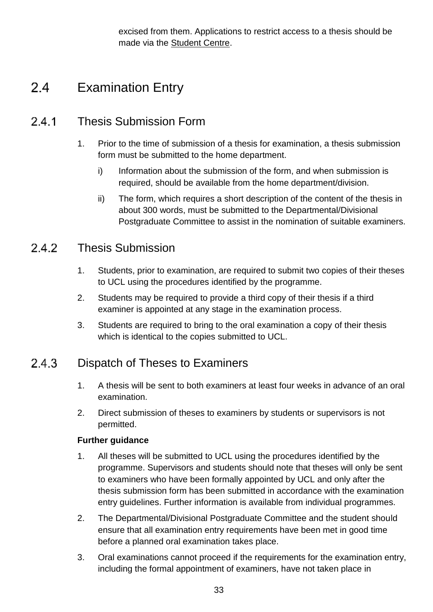excised from them. Applications to restrict access to a thesis should be made via the [Student Centre.](http://www.ucl.ac.uk/current-students/student-centre)

### <span id="page-32-0"></span> $2.4$ Examination Entry

### $24.1$ Thesis Submission Form

- 1. Prior to the time of submission of a thesis for examination, a thesis submission form must be submitted to the home department.
	- i) Information about the submission of the form, and when submission is required, should be available from the home department/division.
	- ii) The form, which requires a short description of the content of the thesis in about 300 words, must be submitted to the Departmental/Divisional Postgraduate Committee to assist in the nomination of suitable examiners.

### 242 Thesis Submission

- 1. Students, prior to examination, are required to submit two copies of their theses to UCL using the procedures identified by the programme.
- 2. Students may be required to provide a third copy of their thesis if a third examiner is appointed at any stage in the examination process.
- 3. Students are required to bring to the oral examination a copy of their thesis which is identical to the copies submitted to UCL.

### 243 Dispatch of Theses to Examiners

- 1. A thesis will be sent to both examiners at least four weeks in advance of an oral examination.
- 2. Direct submission of theses to examiners by students or supervisors is not permitted.

- 1. All theses will be submitted to UCL using the procedures identified by the programme. Supervisors and students should note that theses will only be sent to examiners who have been formally appointed by UCL and only after the thesis submission form has been submitted in accordance with the examination entry guidelines. Further information is available from individual programmes.
- 2. The Departmental/Divisional Postgraduate Committee and the student should ensure that all examination entry requirements have been met in good time before a planned oral examination takes place.
- 3. Oral examinations cannot proceed if the requirements for the examination entry, including the formal appointment of examiners, have not taken place in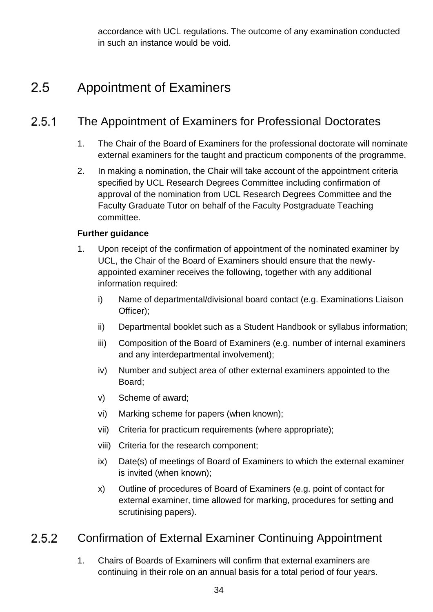accordance with UCL regulations. The outcome of any examination conducted in such an instance would be void.

### <span id="page-33-0"></span> $2.5$ Appointment of Examiners

### $2.5.1$ The Appointment of Examiners for Professional Doctorates

- 1. The Chair of the Board of Examiners for the professional doctorate will nominate external examiners for the taught and practicum components of the programme.
- 2. In making a nomination, the Chair will take account of the appointment criteria specified by UCL Research Degrees Committee including confirmation of approval of the nomination from UCL Research Degrees Committee and the Faculty Graduate Tutor on behalf of the Faculty Postgraduate Teaching committee.

# **Further guidance**

- 1. Upon receipt of the confirmation of appointment of the nominated examiner by UCL, the Chair of the Board of Examiners should ensure that the newlyappointed examiner receives the following, together with any additional information required:
	- i) Name of departmental/divisional board contact (e.g. Examinations Liaison Officer);
	- ii) Departmental booklet such as a Student Handbook or syllabus information;
	- iii) Composition of the Board of Examiners (e.g. number of internal examiners and any interdepartmental involvement);
	- iv) Number and subject area of other external examiners appointed to the Board;
	- v) Scheme of award;
	- vi) Marking scheme for papers (when known);
	- vii) Criteria for practicum requirements (where appropriate);
	- viii) Criteria for the research component;
	- ix) Date(s) of meetings of Board of Examiners to which the external examiner is invited (when known);
	- x) Outline of procedures of Board of Examiners (e.g. point of contact for external examiner, time allowed for marking, procedures for setting and scrutinising papers).

### Confirmation of External Examiner Continuing Appointment 2.5.2

1. Chairs of Boards of Examiners will confirm that external examiners are continuing in their role on an annual basis for a total period of four years.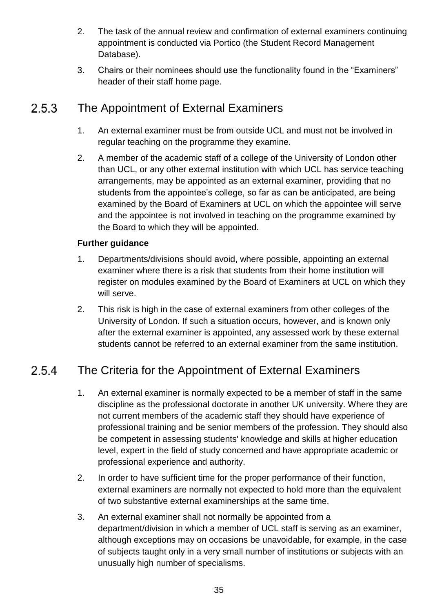- 2. The task of the annual review and confirmation of external examiners continuing appointment is conducted via Portico (the Student Record Management Database).
- 3. Chairs or their nominees should use the functionality found in the "Examiners" header of their staff home page.

### $2.5.3$ The Appointment of External Examiners

- 1. An external examiner must be from outside UCL and must not be involved in regular teaching on the programme they examine.
- 2. A member of the academic staff of a college of the University of London other than UCL, or any other external institution with which UCL has service teaching arrangements, may be appointed as an external examiner, providing that no students from the appointee's college, so far as can be anticipated, are being examined by the Board of Examiners at UCL on which the appointee will serve and the appointee is not involved in teaching on the programme examined by the Board to which they will be appointed.

# **Further guidance**

- 1. Departments/divisions should avoid, where possible, appointing an external examiner where there is a risk that students from their home institution will register on modules examined by the Board of Examiners at UCL on which they will serve.
- 2. This risk is high in the case of external examiners from other colleges of the University of London. If such a situation occurs, however, and is known only after the external examiner is appointed, any assessed work by these external students cannot be referred to an external examiner from the same institution.

### The Criteria for the Appointment of External Examiners 2.5.4

- 1. An external examiner is normally expected to be a member of staff in the same discipline as the professional doctorate in another UK university. Where they are not current members of the academic staff they should have experience of professional training and be senior members of the profession. They should also be competent in assessing students' knowledge and skills at higher education level, expert in the field of study concerned and have appropriate academic or professional experience and authority.
- 2. In order to have sufficient time for the proper performance of their function, external examiners are normally not expected to hold more than the equivalent of two substantive external examinerships at the same time.
- 3. An external examiner shall not normally be appointed from a department/division in which a member of UCL staff is serving as an examiner, although exceptions may on occasions be unavoidable, for example, in the case of subjects taught only in a very small number of institutions or subjects with an unusually high number of specialisms.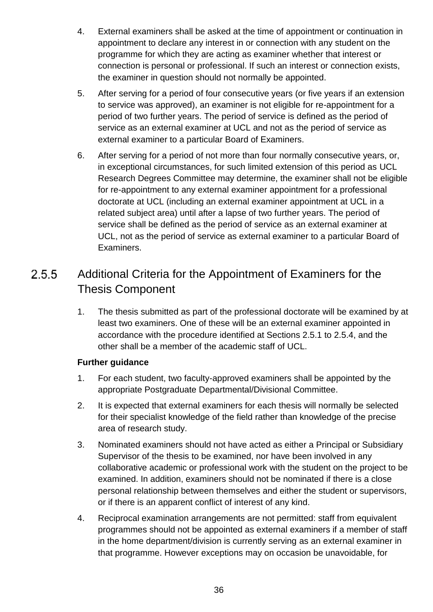- 4. External examiners shall be asked at the time of appointment or continuation in appointment to declare any interest in or connection with any student on the programme for which they are acting as examiner whether that interest or connection is personal or professional. If such an interest or connection exists, the examiner in question should not normally be appointed.
- 5. After serving for a period of four consecutive years (or five years if an extension to service was approved), an examiner is not eligible for re-appointment for a period of two further years. The period of service is defined as the period of service as an external examiner at UCL and not as the period of service as external examiner to a particular Board of Examiners.
- 6. After serving for a period of not more than four normally consecutive years, or, in exceptional circumstances, for such limited extension of this period as UCL Research Degrees Committee may determine, the examiner shall not be eligible for re-appointment to any external examiner appointment for a professional doctorate at UCL (including an external examiner appointment at UCL in a related subject area) until after a lapse of two further years. The period of service shall be defined as the period of service as an external examiner at UCL, not as the period of service as external examiner to a particular Board of Examiners.

# $2.5.5$ Additional Criteria for the Appointment of Examiners for the Thesis Component

1. The thesis submitted as part of the professional doctorate will be examined by at least two examiners. One of these will be an external examiner appointed in accordance with the procedure identified at Sections 2.5.1 to 2.5.4, and the other shall be a member of the academic staff of UCL.

- 1. For each student, two faculty-approved examiners shall be appointed by the appropriate Postgraduate Departmental/Divisional Committee.
- 2. It is expected that external examiners for each thesis will normally be selected for their specialist knowledge of the field rather than knowledge of the precise area of research study.
- 3. Nominated examiners should not have acted as either a Principal or Subsidiary Supervisor of the thesis to be examined, nor have been involved in any collaborative academic or professional work with the student on the project to be examined. In addition, examiners should not be nominated if there is a close personal relationship between themselves and either the student or supervisors, or if there is an apparent conflict of interest of any kind.
- 4. Reciprocal examination arrangements are not permitted: staff from equivalent programmes should not be appointed as external examiners if a member of staff in the home department/division is currently serving as an external examiner in that programme. However exceptions may on occasion be unavoidable, for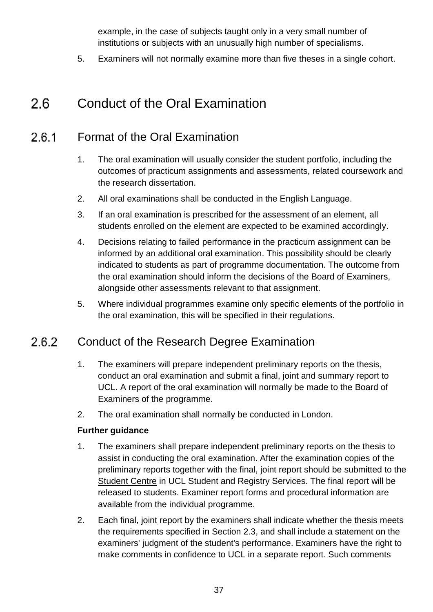example, in the case of subjects taught only in a very small number of institutions or subjects with an unusually high number of specialisms.

5. Examiners will not normally examine more than five theses in a single cohort.

### <span id="page-36-0"></span>Conduct of the Oral Examination  $2.6$

### Format of the Oral Examination  $2.6.1$

- 1. The oral examination will usually consider the student portfolio, including the outcomes of practicum assignments and assessments, related coursework and the research dissertation.
- 2. All oral examinations shall be conducted in the English Language.
- 3. If an oral examination is prescribed for the assessment of an element, all students enrolled on the element are expected to be examined accordingly.
- 4. Decisions relating to failed performance in the practicum assignment can be informed by an additional oral examination. This possibility should be clearly indicated to students as part of programme documentation. The outcome from the oral examination should inform the decisions of the Board of Examiners, alongside other assessments relevant to that assignment.
- 5. Where individual programmes examine only specific elements of the portfolio in the oral examination, this will be specified in their regulations.

### 2.6.2 Conduct of the Research Degree Examination

- 1. The examiners will prepare independent preliminary reports on the thesis, conduct an oral examination and submit a final, joint and summary report to UCL. A report of the oral examination will normally be made to the Board of Examiners of the programme.
- 2. The oral examination shall normally be conducted in London.

- 1. The examiners shall prepare independent preliminary reports on the thesis to assist in conducting the oral examination. After the examination copies of the preliminary reports together with the final, joint report should be submitted to the [Student Centre](http://www.ucl.ac.uk/current-students/student-centre) in UCL Student and Registry Services. The final report will be released to students. Examiner report forms and procedural information are available from the individual programme.
- 2. Each final, joint report by the examiners shall indicate whether the thesis meets the requirements specified in Section 2.3, and shall include a statement on the examiners' judgment of the student's performance. Examiners have the right to make comments in confidence to UCL in a separate report. Such comments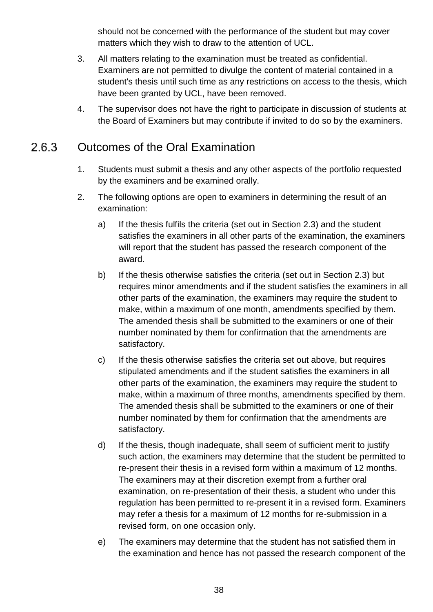should not be concerned with the performance of the student but may cover matters which they wish to draw to the attention of UCL.

- 3. All matters relating to the examination must be treated as confidential. Examiners are not permitted to divulge the content of material contained in a student's thesis until such time as any restrictions on access to the thesis, which have been granted by UCL, have been removed.
- 4. The supervisor does not have the right to participate in discussion of students at the Board of Examiners but may contribute if invited to do so by the examiners.

### 2.6.3 Outcomes of the Oral Examination

- 1. Students must submit a thesis and any other aspects of the portfolio requested by the examiners and be examined orally.
- 2. The following options are open to examiners in determining the result of an examination:
	- a) If the thesis fulfils the criteria (set out in Section 2.3) and the student satisfies the examiners in all other parts of the examination, the examiners will report that the student has passed the research component of the award.
	- b) If the thesis otherwise satisfies the criteria (set out in Section 2.3) but requires minor amendments and if the student satisfies the examiners in all other parts of the examination, the examiners may require the student to make, within a maximum of one month, amendments specified by them. The amended thesis shall be submitted to the examiners or one of their number nominated by them for confirmation that the amendments are satisfactory.
	- c) If the thesis otherwise satisfies the criteria set out above, but requires stipulated amendments and if the student satisfies the examiners in all other parts of the examination, the examiners may require the student to make, within a maximum of three months, amendments specified by them. The amended thesis shall be submitted to the examiners or one of their number nominated by them for confirmation that the amendments are satisfactory.
	- d) If the thesis, though inadequate, shall seem of sufficient merit to justify such action, the examiners may determine that the student be permitted to re-present their thesis in a revised form within a maximum of 12 months. The examiners may at their discretion exempt from a further oral examination, on re-presentation of their thesis, a student who under this regulation has been permitted to re-present it in a revised form. Examiners may refer a thesis for a maximum of 12 months for re-submission in a revised form, on one occasion only.
	- e) The examiners may determine that the student has not satisfied them in the examination and hence has not passed the research component of the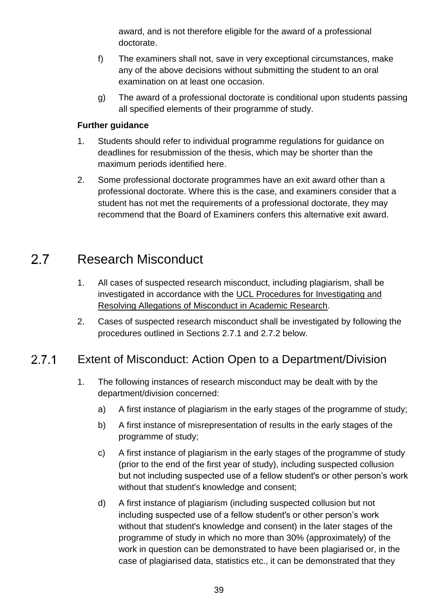award, and is not therefore eligible for the award of a professional doctorate.

- f) The examiners shall not, save in very exceptional circumstances, make any of the above decisions without submitting the student to an oral examination on at least one occasion.
- g) The award of a professional doctorate is conditional upon students passing all specified elements of their programme of study.

# **Further guidance**

- 1. Students should refer to individual programme regulations for guidance on deadlines for resubmission of the thesis, which may be shorter than the maximum periods identified here.
- 2. Some professional doctorate programmes have an exit award other than a professional doctorate. Where this is the case, and examiners consider that a student has not met the requirements of a professional doctorate, they may recommend that the Board of Examiners confers this alternative exit award.

### <span id="page-38-0"></span>Research Misconduct  $2.7$

- 1. All cases of suspected research misconduct, including plagiarism, shall be investigated in accordance with the [UCL Procedures for Investigating and](http://www.ucl.ac.uk/srs/governance-and-committees/resgov/investigation)  [Resolving Allegations of Misconduct in Academic Research.](http://www.ucl.ac.uk/srs/governance-and-committees/resgov/investigation)
- 2. Cases of suspected research misconduct shall be investigated by following the procedures outlined in Sections 2.7.1 and 2.7.2 below.

### $2.7.1$ Extent of Misconduct: Action Open to a Department/Division

- 1. The following instances of research misconduct may be dealt with by the department/division concerned:
	- a) A first instance of plagiarism in the early stages of the programme of study;
	- b) A first instance of misrepresentation of results in the early stages of the programme of study;
	- c) A first instance of plagiarism in the early stages of the programme of study (prior to the end of the first year of study), including suspected collusion but not including suspected use of a fellow student's or other person's work without that student's knowledge and consent;
	- d) A first instance of plagiarism (including suspected collusion but not including suspected use of a fellow student's or other person's work without that student's knowledge and consent) in the later stages of the programme of study in which no more than 30% (approximately) of the work in question can be demonstrated to have been plagiarised or, in the case of plagiarised data, statistics etc., it can be demonstrated that they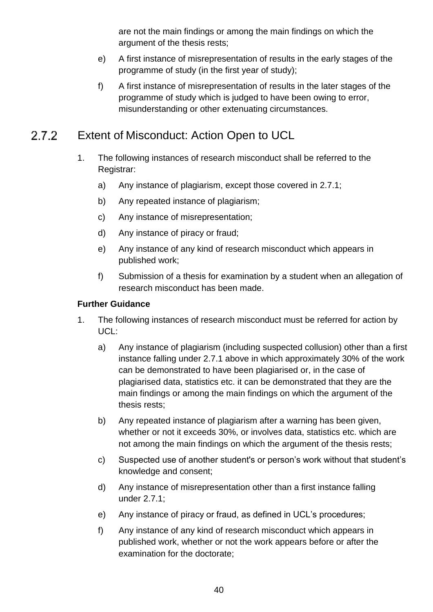are not the main findings or among the main findings on which the argument of the thesis rests;

- e) A first instance of misrepresentation of results in the early stages of the programme of study (in the first year of study);
- f) A first instance of misrepresentation of results in the later stages of the programme of study which is judged to have been owing to error, misunderstanding or other extenuating circumstances.

### $2.7.2$ Extent of Misconduct: Action Open to UCL

- 1. The following instances of research misconduct shall be referred to the Registrar:
	- a) Any instance of plagiarism, except those covered in 2.7.1;
	- b) Any repeated instance of plagiarism;
	- c) Any instance of misrepresentation;
	- d) Any instance of piracy or fraud;
	- e) Any instance of any kind of research misconduct which appears in published work;
	- f) Submission of a thesis for examination by a student when an allegation of research misconduct has been made.

- 1. The following instances of research misconduct must be referred for action by UCL:
	- a) Any instance of plagiarism (including suspected collusion) other than a first instance falling under 2.7.1 above in which approximately 30% of the work can be demonstrated to have been plagiarised or, in the case of plagiarised data, statistics etc. it can be demonstrated that they are the main findings or among the main findings on which the argument of the thesis rests;
	- b) Any repeated instance of plagiarism after a warning has been given, whether or not it exceeds 30%, or involves data, statistics etc. which are not among the main findings on which the argument of the thesis rests;
	- c) Suspected use of another student's or person's work without that student's knowledge and consent;
	- d) Any instance of misrepresentation other than a first instance falling under 2.7.1;
	- e) Any instance of piracy or fraud, as defined in UCL's procedures;
	- f) Any instance of any kind of research misconduct which appears in published work, whether or not the work appears before or after the examination for the doctorate;